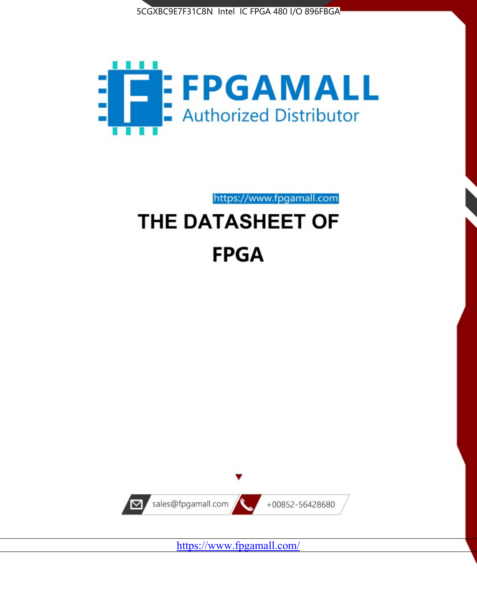



# https://www.fpgamall.com THE DATASHEET OF **FPGA**



<https://www.fpgamall.com/>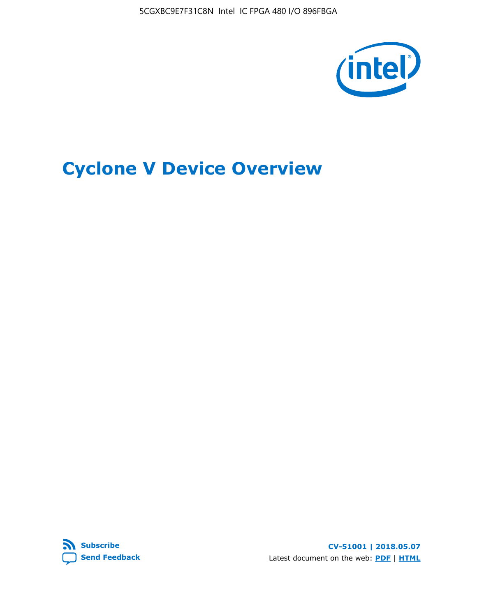5CGXBC9E7F31C8N Intel IC FPGA 480 I/O 896FBGA



# **Cyclone V Device Overview**



**CV-51001 | 2018.05.07** Latest document on the web: **[PDF](https://www.altera.com/en_US/pdfs/literature/hb/cyclone-v/cv_51001.pdf)** | **[HTML](https://www.altera.com/documentation/sam1403480548153.html)**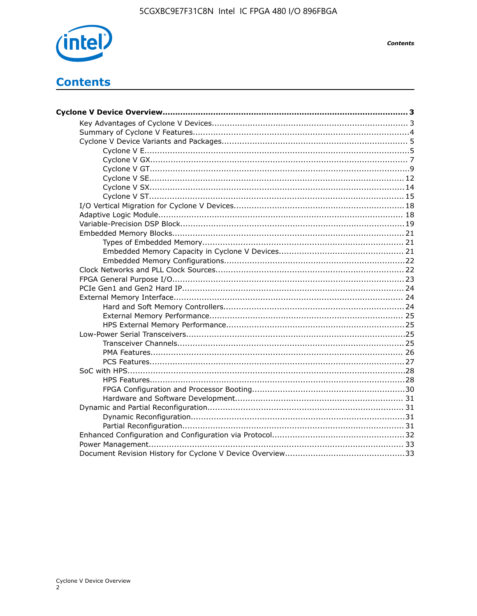

**Contents** 

# **Contents**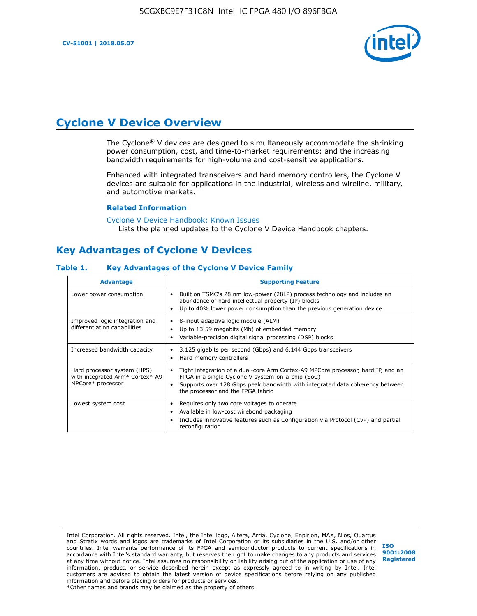

# **Cyclone V Device Overview**

The Cyclone® V devices are designed to simultaneously accommodate the shrinking power consumption, cost, and time-to-market requirements; and the increasing bandwidth requirements for high-volume and cost-sensitive applications.

Enhanced with integrated transceivers and hard memory controllers, the Cyclone V devices are suitable for applications in the industrial, wireless and wireline, military, and automotive markets.

#### **Related Information**

[Cyclone V Device Handbook: Known Issues](https://www.altera.com/support/support-resources/knowledge-base/solutions/rd12152011_347.html) Lists the planned updates to the Cyclone V Device Handbook chapters.

# **Key Advantages of Cyclone V Devices**

#### **Table 1. Key Advantages of the Cyclone V Device Family**

| <b>Advantage</b>                                                                    | <b>Supporting Feature</b>                                                                                                                                                                                                                                                    |
|-------------------------------------------------------------------------------------|------------------------------------------------------------------------------------------------------------------------------------------------------------------------------------------------------------------------------------------------------------------------------|
| Lower power consumption                                                             | Built on TSMC's 28 nm low-power (28LP) process technology and includes an<br>$\bullet$<br>abundance of hard intellectual property (IP) blocks<br>Up to 40% lower power consumption than the previous generation device                                                       |
| Improved logic integration and<br>differentiation capabilities                      | 8-input adaptive logic module (ALM)<br>٠<br>Up to 13.59 megabits (Mb) of embedded memory<br>٠<br>Variable-precision digital signal processing (DSP) blocks                                                                                                                   |
| Increased bandwidth capacity                                                        | 3.125 gigabits per second (Gbps) and 6.144 Gbps transceivers<br>٠<br>Hard memory controllers<br>٠                                                                                                                                                                            |
| Hard processor system (HPS)<br>with integrated Arm* Cortex*-A9<br>MPCore* processor | Tight integration of a dual-core Arm Cortex-A9 MPCore processor, hard IP, and an<br>$\bullet$<br>FPGA in a single Cyclone V system-on-a-chip (SoC)<br>Supports over 128 Gbps peak bandwidth with integrated data coherency between<br>٠<br>the processor and the FPGA fabric |
| Lowest system cost                                                                  | Requires only two core voltages to operate<br>٠<br>Available in low-cost wirebond packaging<br>٠<br>Includes innovative features such as Configuration via Protocol (CvP) and partial<br>٠<br>reconfiguration                                                                |

Intel Corporation. All rights reserved. Intel, the Intel logo, Altera, Arria, Cyclone, Enpirion, MAX, Nios, Quartus and Stratix words and logos are trademarks of Intel Corporation or its subsidiaries in the U.S. and/or other countries. Intel warrants performance of its FPGA and semiconductor products to current specifications in accordance with Intel's standard warranty, but reserves the right to make changes to any products and services at any time without notice. Intel assumes no responsibility or liability arising out of the application or use of any information, product, or service described herein except as expressly agreed to in writing by Intel. Intel customers are advised to obtain the latest version of device specifications before relying on any published information and before placing orders for products or services. \*Other names and brands may be claimed as the property of others.

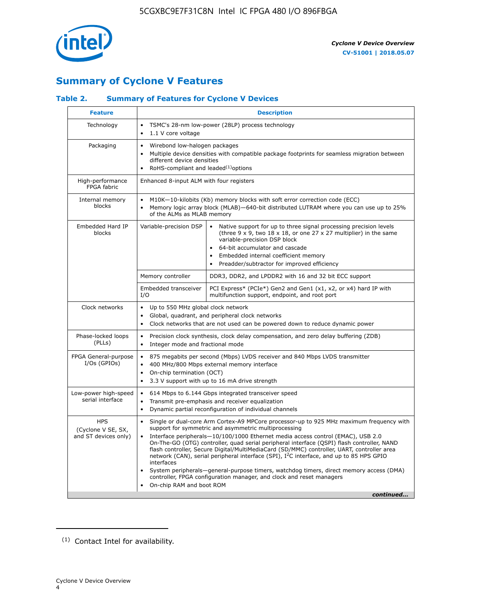

# **Summary of Cyclone V Features**

# **Table 2. Summary of Features for Cyclone V Devices**

| <b>Feature</b>                                           | <b>Description</b>                                                                                                                                                                                                                                                                                                                               |                                                                                                                                                                                                                                                                                                                                                                                                                                                                                                                                                                                                                                                                                                         |  |  |  |  |  |  |  |
|----------------------------------------------------------|--------------------------------------------------------------------------------------------------------------------------------------------------------------------------------------------------------------------------------------------------------------------------------------------------------------------------------------------------|---------------------------------------------------------------------------------------------------------------------------------------------------------------------------------------------------------------------------------------------------------------------------------------------------------------------------------------------------------------------------------------------------------------------------------------------------------------------------------------------------------------------------------------------------------------------------------------------------------------------------------------------------------------------------------------------------------|--|--|--|--|--|--|--|
| Technology                                               | TSMC's 28-nm low-power (28LP) process technology<br>$\bullet$<br>1.1 V core voltage                                                                                                                                                                                                                                                              |                                                                                                                                                                                                                                                                                                                                                                                                                                                                                                                                                                                                                                                                                                         |  |  |  |  |  |  |  |
| Packaging                                                | $\bullet$                                                                                                                                                                                                                                                                                                                                        | Wirebond low-halogen packages<br>Multiple device densities with compatible package footprints for seamless migration between<br>different device densities<br>RoHS-compliant and leaded $(1)$ options                                                                                                                                                                                                                                                                                                                                                                                                                                                                                                   |  |  |  |  |  |  |  |
| High-performance<br>FPGA fabric                          | Enhanced 8-input ALM with four registers                                                                                                                                                                                                                                                                                                         |                                                                                                                                                                                                                                                                                                                                                                                                                                                                                                                                                                                                                                                                                                         |  |  |  |  |  |  |  |
| Internal memory<br>blocks                                | of the ALMs as MLAB memory                                                                                                                                                                                                                                                                                                                       | M10K-10-kilobits (Kb) memory blocks with soft error correction code (ECC)<br>Memory logic array block (MLAB)-640-bit distributed LUTRAM where you can use up to 25%                                                                                                                                                                                                                                                                                                                                                                                                                                                                                                                                     |  |  |  |  |  |  |  |
| Embedded Hard IP<br>blocks                               | Variable-precision DSP<br>Native support for up to three signal processing precision levels<br>(three $9 \times 9$ , two $18 \times 18$ , or one $27 \times 27$ multiplier) in the same<br>variable-precision DSP block<br>64-bit accumulator and cascade<br>Embedded internal coefficient memory<br>Preadder/subtractor for improved efficiency |                                                                                                                                                                                                                                                                                                                                                                                                                                                                                                                                                                                                                                                                                                         |  |  |  |  |  |  |  |
|                                                          | Memory controller                                                                                                                                                                                                                                                                                                                                | DDR3, DDR2, and LPDDR2 with 16 and 32 bit ECC support                                                                                                                                                                                                                                                                                                                                                                                                                                                                                                                                                                                                                                                   |  |  |  |  |  |  |  |
|                                                          | Embedded transceiver<br>I/O                                                                                                                                                                                                                                                                                                                      | PCI Express* (PCIe*) Gen2 and Gen1 (x1, x2, or x4) hard IP with<br>multifunction support, endpoint, and root port                                                                                                                                                                                                                                                                                                                                                                                                                                                                                                                                                                                       |  |  |  |  |  |  |  |
| Clock networks                                           | Up to 550 MHz global clock network<br>$\bullet$<br>$\bullet$<br>$\bullet$                                                                                                                                                                                                                                                                        | Global, quadrant, and peripheral clock networks<br>Clock networks that are not used can be powered down to reduce dynamic power                                                                                                                                                                                                                                                                                                                                                                                                                                                                                                                                                                         |  |  |  |  |  |  |  |
| Phase-locked loops<br>(PLLs)                             | $\bullet$<br>Integer mode and fractional mode<br>$\bullet$                                                                                                                                                                                                                                                                                       | Precision clock synthesis, clock delay compensation, and zero delay buffering (ZDB)                                                                                                                                                                                                                                                                                                                                                                                                                                                                                                                                                                                                                     |  |  |  |  |  |  |  |
| FPGA General-purpose<br>$I/Os$ (GPIOs)                   | $\bullet$<br>$\bullet$<br>On-chip termination (OCT)<br>$\bullet$                                                                                                                                                                                                                                                                                 | 875 megabits per second (Mbps) LVDS receiver and 840 Mbps LVDS transmitter<br>400 MHz/800 Mbps external memory interface<br>3.3 V support with up to 16 mA drive strength                                                                                                                                                                                                                                                                                                                                                                                                                                                                                                                               |  |  |  |  |  |  |  |
| Low-power high-speed<br>serial interface                 | 614 Mbps to 6.144 Gbps integrated transceiver speed<br>$\bullet$<br>Transmit pre-emphasis and receiver equalization<br>$\bullet$<br>Dynamic partial reconfiguration of individual channels<br>$\bullet$                                                                                                                                          |                                                                                                                                                                                                                                                                                                                                                                                                                                                                                                                                                                                                                                                                                                         |  |  |  |  |  |  |  |
| <b>HPS</b><br>(Cyclone V SE, SX,<br>and ST devices only) | $\bullet$<br>$\bullet$<br>interfaces<br>On-chip RAM and boot ROM                                                                                                                                                                                                                                                                                 | Single or dual-core Arm Cortex-A9 MPCore processor-up to 925 MHz maximum frequency with<br>support for symmetric and asymmetric multiprocessing<br>Interface peripherals-10/100/1000 Ethernet media access control (EMAC), USB 2.0<br>On-The-GO (OTG) controller, quad serial peripheral interface (QSPI) flash controller, NAND<br>flash controller, Secure Digital/MultiMediaCard (SD/MMC) controller, UART, controller area<br>network (CAN), serial peripheral interface (SPI), I <sup>2</sup> C interface, and up to 85 HPS GPIO<br>System peripherals—general-purpose timers, watchdog timers, direct memory access (DMA)<br>controller, FPGA configuration manager, and clock and reset managers |  |  |  |  |  |  |  |
|                                                          |                                                                                                                                                                                                                                                                                                                                                  | continued                                                                                                                                                                                                                                                                                                                                                                                                                                                                                                                                                                                                                                                                                               |  |  |  |  |  |  |  |

<sup>(1)</sup> Contact Intel for availability.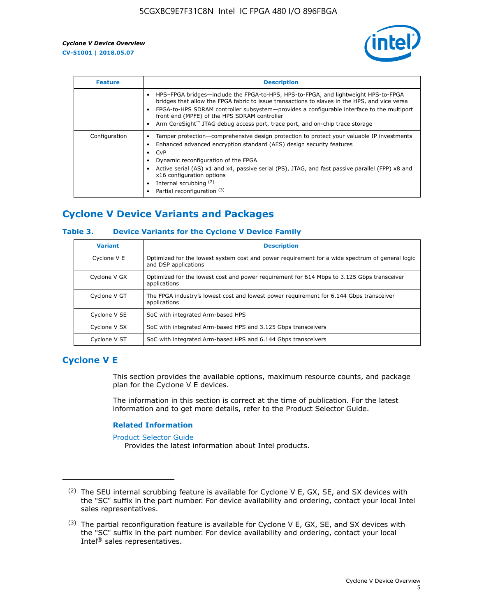

| <b>Feature</b> | <b>Description</b>                                                                                                                                                                                                                                                                                                                                                                                                           |
|----------------|------------------------------------------------------------------------------------------------------------------------------------------------------------------------------------------------------------------------------------------------------------------------------------------------------------------------------------------------------------------------------------------------------------------------------|
|                | HPS-FPGA bridges—include the FPGA-to-HPS, HPS-to-FPGA, and lightweight HPS-to-FPGA<br>bridges that allow the FPGA fabric to issue transactions to slaves in the HPS, and vice versa<br>FPGA-to-HPS SDRAM controller subsystem—provides a configurable interface to the multiport<br>front end (MPFE) of the HPS SDRAM controller<br>Arm CoreSight <sup>™</sup> JTAG debug access port, trace port, and on-chip trace storage |
| Configuration  | Tamper protection—comprehensive design protection to protect your valuable IP investments<br>Enhanced advanced encryption standard (AES) design security features<br>CvP<br>$\bullet$<br>Dynamic reconfiguration of the FPGA<br>Active serial (AS) x1 and x4, passive serial (PS), JTAG, and fast passive parallel (FPP) x8 and<br>x16 configuration options<br>Internal scrubbing (2)<br>Partial reconfiguration (3)        |

# **Cyclone V Device Variants and Packages**

## **Table 3. Device Variants for the Cyclone V Device Family**

| <b>Variant</b> | <b>Description</b>                                                                                                      |
|----------------|-------------------------------------------------------------------------------------------------------------------------|
| Cyclone V E    | Optimized for the lowest system cost and power requirement for a wide spectrum of general logic<br>and DSP applications |
| Cyclone V GX   | Optimized for the lowest cost and power requirement for 614 Mbps to 3.125 Gbps transceiver<br>applications              |
| Cyclone V GT   | The FPGA industry's lowest cost and lowest power requirement for 6.144 Gbps transceiver<br>applications                 |
| Cyclone V SE   | SoC with integrated Arm-based HPS                                                                                       |
| Cyclone V SX   | SoC with integrated Arm-based HPS and 3.125 Gbps transceivers                                                           |
| Cyclone V ST   | SoC with integrated Arm-based HPS and 6.144 Gbps transceivers                                                           |

# **Cyclone V E**

This section provides the available options, maximum resource counts, and package plan for the Cyclone V E devices.

The information in this section is correct at the time of publication. For the latest information and to get more details, refer to the Product Selector Guide.

#### **Related Information**

[Product Selector Guide](https://www.altera.com/products/product-selector-guide.html)

Provides the latest information about Intel products.

<sup>(2)</sup> The SEU internal scrubbing feature is available for Cyclone V E, GX, SE, and SX devices with the "SC" suffix in the part number. For device availability and ordering, contact your local Intel sales representatives.

 $(3)$  The partial reconfiguration feature is available for Cyclone V E, GX, SE, and SX devices with the "SC" suffix in the part number. For device availability and ordering, contact your local Intel® sales representatives.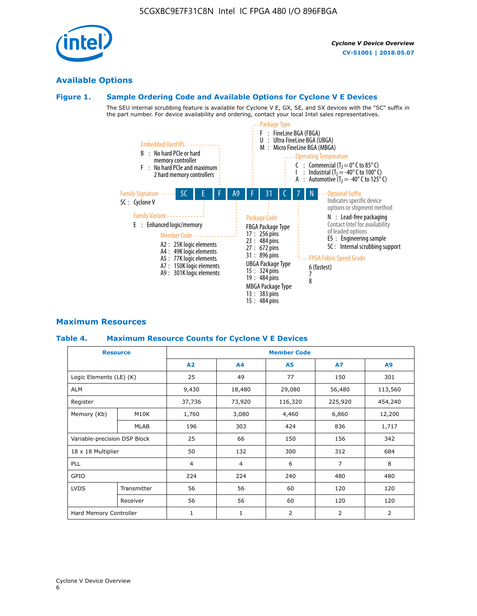Cyclone V Device Overview



# **Available Options**

## **Figure 1. Sample Ordering Code and Available Options for Cyclone V E Devices**

The SEU internal scrubbing feature is available for Cyclone V E, GX, SE, and SX devices with the "SC" suffix in the part number. For device availability and ordering, contact your local Intel sales representatives.



# **Maximum Resources**

## **Table 4. Maximum Resource Counts for Cyclone V E Devices**

| <b>Resource</b>         |                              | <b>Member Code</b> |                |                     |           |         |  |  |  |
|-------------------------|------------------------------|--------------------|----------------|---------------------|-----------|---------|--|--|--|
|                         |                              | A2                 | A4             | <b>A5</b>           | <b>A7</b> | A9      |  |  |  |
| Logic Elements (LE) (K) |                              | 25                 | 49             | 77                  | 150       | 301     |  |  |  |
| <b>ALM</b>              |                              | 9,430              | 18,480         | 29,080              | 56,480    | 113,560 |  |  |  |
| Register                |                              |                    | 73,920         | 116,320             | 225,920   | 454,240 |  |  |  |
| Memory (Kb)             | M10K                         | 1,760              | 3,080          | 4,460               | 6,860     | 12,200  |  |  |  |
|                         | <b>MLAB</b>                  | 196                | 303            | 424                 | 836       | 1,717   |  |  |  |
|                         | Variable-precision DSP Block |                    | 66             | 150                 | 156       | 342     |  |  |  |
| 18 x 18 Multiplier      |                              | 50                 | 132            | 300                 | 312       | 684     |  |  |  |
| <b>PLL</b>              |                              | $\overline{4}$     | $\overline{4}$ | $\overline{7}$<br>6 |           | 8       |  |  |  |
| GPIO                    |                              | 224                | 224            | 240                 | 480       | 480     |  |  |  |
| <b>LVDS</b>             | Transmitter                  | 56                 | 56             | 60                  | 120       | 120     |  |  |  |
|                         | Receiver                     | 56                 | 56             | 60                  | 120       | 120     |  |  |  |
| Hard Memory Controller  |                              | $\mathbf{1}$       | $\mathbf{1}$   | $\overline{2}$      | 2         | 2       |  |  |  |

6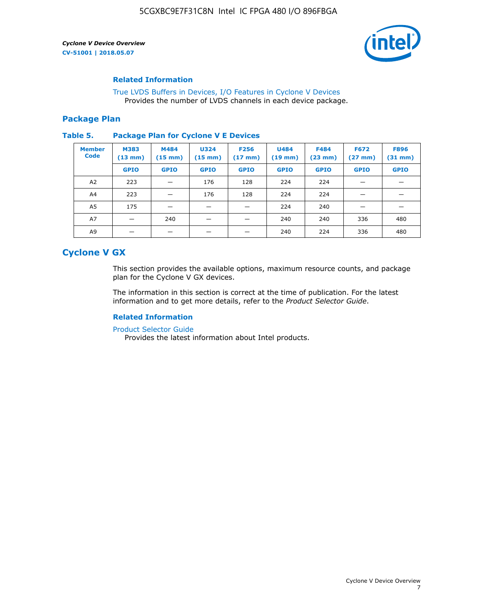

## **Related Information**

[True LVDS Buffers in Devices, I/O Features in Cyclone V Devices](https://www.altera.com/documentation/sam1403481100977.html#sam1403480885395) Provides the number of LVDS channels in each device package.

## **Package Plan**

#### **Table 5. Package Plan for Cyclone V E Devices**

| <b>Member</b><br><b>Code</b> | <b>M383</b><br>$(13 \text{ mm})$ | M484<br>$(15 \text{ mm})$ | <b>U324</b><br>$(15 \text{ mm})$ | <b>F256</b><br>$(17 \text{ mm})$ | <b>U484</b><br>$(19$ mm) | <b>F484</b><br>$(23$ mm $)$ | <b>F672</b><br>$(27 \, \text{mm})$ | <b>F896</b><br>$(31 \text{ mm})$ |
|------------------------------|----------------------------------|---------------------------|----------------------------------|----------------------------------|--------------------------|-----------------------------|------------------------------------|----------------------------------|
|                              | <b>GPIO</b>                      | <b>GPIO</b>               | <b>GPIO</b>                      | <b>GPIO</b>                      | <b>GPIO</b>              | <b>GPIO</b>                 | <b>GPIO</b>                        | <b>GPIO</b>                      |
| A2                           | 223                              |                           | 176                              | 128                              | 224                      | 224                         | –                                  |                                  |
| A4                           | 223                              |                           | 176                              | 128                              | 224                      | 224                         |                                    |                                  |
| A5                           | 175                              |                           |                                  |                                  | 224                      | 240                         |                                    |                                  |
| A7                           |                                  | 240                       |                                  |                                  | 240                      | 240                         | 336                                | 480                              |
| A9                           |                                  |                           |                                  |                                  | 240                      | 224                         | 336                                | 480                              |

# **Cyclone V GX**

This section provides the available options, maximum resource counts, and package plan for the Cyclone V GX devices.

The information in this section is correct at the time of publication. For the latest information and to get more details, refer to the *Product Selector Guide*.

# **Related Information**

[Product Selector Guide](https://www.altera.com/products/product-selector-guide.html)

Provides the latest information about Intel products.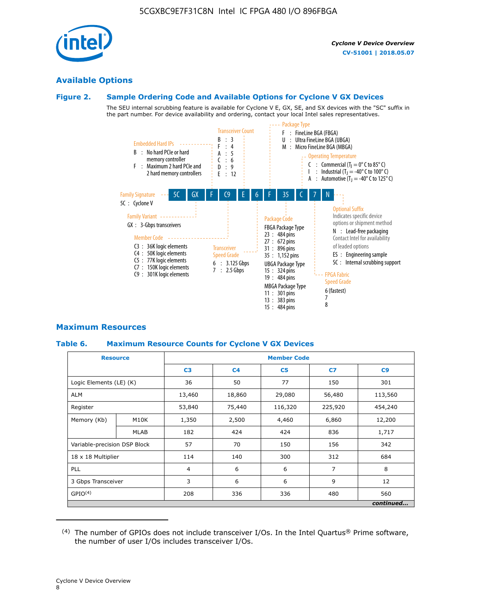

# **Available Options**

#### **Figure 2. Sample Ordering Code and Available Options for Cyclone V GX Devices**

The SEU internal scrubbing feature is available for Cyclone V E, GX, SE, and SX devices with the "SC" suffix in the part number. For device availability and ordering, contact your local Intel sales representatives.



# **Maximum Resources**

## **Table 6. Maximum Resource Counts for Cyclone V GX Devices**

| <b>Resource</b>              |             | <b>Member Code</b> |                                            |                |         |           |  |  |
|------------------------------|-------------|--------------------|--------------------------------------------|----------------|---------|-----------|--|--|
|                              |             | C <sub>3</sub>     | C <sub>4</sub>                             | C <sub>5</sub> | C7      | C9        |  |  |
| Logic Elements (LE) (K)      |             | 36                 | 50                                         | 77             | 150     | 301       |  |  |
| <b>ALM</b>                   |             | 13,460             | 18,860                                     | 29,080         | 56,480  | 113,560   |  |  |
| Register                     |             | 53,840             | 75,440                                     | 116,320        | 225,920 | 454,240   |  |  |
| Memory (Kb)                  | M10K        | 1,350              | 2,500                                      | 4,460          | 6,860   | 12,200    |  |  |
|                              | <b>MLAB</b> | 182                | 424                                        | 424            | 836     | 1,717     |  |  |
| Variable-precision DSP Block |             | 57                 | 70                                         | 150            | 156     | 342       |  |  |
| 18 x 18 Multiplier           |             | 114                | 140                                        | 300            | 312     | 684       |  |  |
| PLL                          |             |                    | $\overline{7}$<br>6<br>6<br>$\overline{4}$ |                |         | 8         |  |  |
| 3 Gbps Transceiver           |             | 3                  | 6                                          | 6              | 9       | 12        |  |  |
| GPIO <sup>(4)</sup>          |             | 208                | 336                                        | 336            | 480     | 560       |  |  |
|                              |             |                    |                                            |                |         | continued |  |  |

 $(4)$  The number of GPIOs does not include transceiver I/Os. In the Intel Quartus® Prime software, the number of user I/Os includes transceiver I/Os.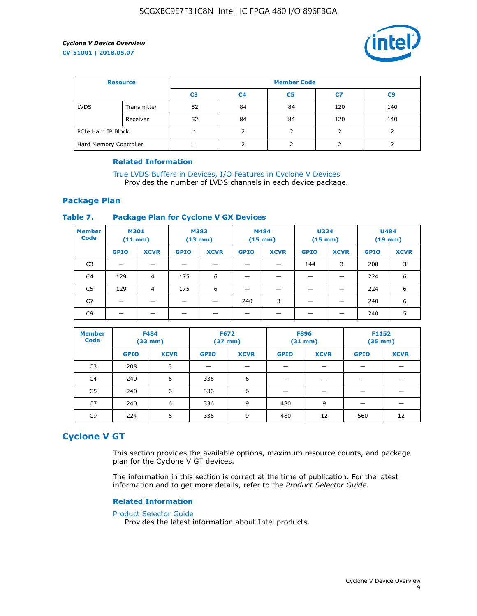

| <b>Resource</b>        |             | <b>Member Code</b> |                |                |     |                |  |  |  |
|------------------------|-------------|--------------------|----------------|----------------|-----|----------------|--|--|--|
|                        |             | C <sub>3</sub>     | C <sub>4</sub> | C <sub>5</sub> | C7  | C <sub>9</sub> |  |  |  |
| <b>LVDS</b>            | Transmitter | 52                 | 84             | 84             | 120 | 140            |  |  |  |
|                        | Receiver    | 52                 | 84             | 84             | 120 | 140            |  |  |  |
| PCIe Hard IP Block     |             |                    |                |                |     |                |  |  |  |
| Hard Memory Controller |             |                    |                |                |     |                |  |  |  |

## **Related Information**

[True LVDS Buffers in Devices, I/O Features in Cyclone V Devices](https://www.altera.com/documentation/sam1403481100977.html#sam1403480885395) Provides the number of LVDS channels in each device package.

# **Package Plan**

#### **Table 7. Package Plan for Cyclone V GX Devices**

| <b>Member</b><br><b>Code</b> | <b>M301</b><br>$(11$ mm) |             | <b>M383</b><br>(13 mm) |             | M484<br>$(15 \text{ mm})$ |             | <b>U324</b><br>$(15 \text{ mm})$ |             | <b>U484</b><br>$(19$ mm) |             |
|------------------------------|--------------------------|-------------|------------------------|-------------|---------------------------|-------------|----------------------------------|-------------|--------------------------|-------------|
|                              | <b>GPIO</b>              | <b>XCVR</b> | <b>GPIO</b>            | <b>XCVR</b> | <b>GPIO</b>               | <b>XCVR</b> | <b>GPIO</b>                      | <b>XCVR</b> | <b>GPIO</b>              | <b>XCVR</b> |
| C <sub>3</sub>               | -                        |             |                        |             |                           |             | 144                              | 3           | 208                      | 3           |
| C4                           | 129                      | 4           | 175                    | 6           | –                         |             | -                                |             | 224                      | 6           |
| C5                           | 129                      | 4           | 175                    | 6           |                           |             |                                  |             | 224                      | 6           |
| C7                           |                          |             | _                      |             | 240                       | 3           | _                                |             | 240                      | 6           |
| C <sub>9</sub>               |                          |             |                        |             |                           |             |                                  |             | 240                      | 5           |

| <b>Member</b><br><b>Code</b> | <b>F484</b><br>$(23$ mm $)$ |             |             |             | <b>F672</b><br><b>F896</b><br>$(31$ mm $)$<br>$(27 \, \text{mm})$ |             | F1152       | $(35 \text{ mm})$ |
|------------------------------|-----------------------------|-------------|-------------|-------------|-------------------------------------------------------------------|-------------|-------------|-------------------|
|                              | <b>GPIO</b>                 | <b>XCVR</b> | <b>GPIO</b> | <b>XCVR</b> | <b>GPIO</b>                                                       | <b>XCVR</b> | <b>GPIO</b> | <b>XCVR</b>       |
| C <sub>3</sub>               | 208                         | 3           |             |             |                                                                   |             |             |                   |
| C4                           | 240                         | 6           | 336         | 6           |                                                                   |             |             |                   |
| C <sub>5</sub>               | 240                         | 6           | 336         | 6           |                                                                   |             |             |                   |
| C7                           | 240                         | 6           | 336         | 9           | 480                                                               | 9           |             |                   |
| C <sub>9</sub>               | 224                         | 6           | 336         | 9           | 480                                                               | 12          | 560         | 12                |

# **Cyclone V GT**

This section provides the available options, maximum resource counts, and package plan for the Cyclone V GT devices.

The information in this section is correct at the time of publication. For the latest information and to get more details, refer to the *Product Selector Guide*.

#### **Related Information**

#### [Product Selector Guide](https://www.altera.com/products/product-selector-guide.html)

Provides the latest information about Intel products.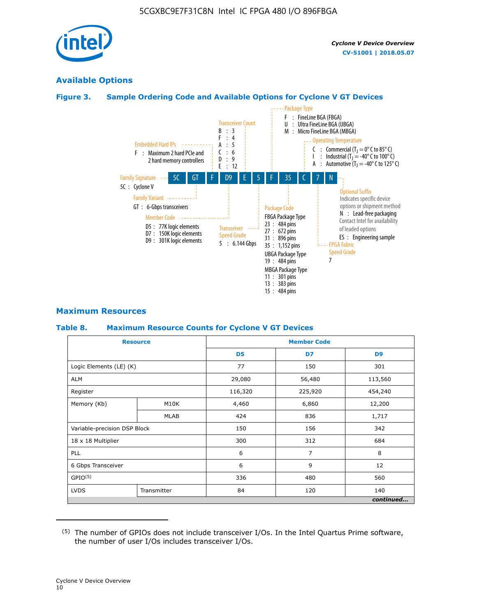

# **Available Options**

# **Figure 3. Sample Ordering Code and Available Options for Cyclone V GT Devices**



## **Maximum Resources**

#### **Table 8. Maximum Resource Counts for Cyclone V GT Devices**

|                              | <b>Resource</b> | <b>Member Code</b> |         |                |  |  |  |
|------------------------------|-----------------|--------------------|---------|----------------|--|--|--|
|                              |                 | D <sub>5</sub>     | D7      | D <sub>9</sub> |  |  |  |
| Logic Elements (LE) (K)      |                 | 77                 | 150     | 301            |  |  |  |
| <b>ALM</b>                   |                 | 29,080             | 56,480  | 113,560        |  |  |  |
| Register                     |                 | 116,320            | 225,920 | 454,240        |  |  |  |
| Memory (Kb)                  | M10K            | 4,460              | 6,860   | 12,200         |  |  |  |
|                              | <b>MLAB</b>     | 424                | 836     | 1,717          |  |  |  |
| Variable-precision DSP Block |                 | 150                | 156     | 342            |  |  |  |
| 18 x 18 Multiplier           |                 | 300                | 312     | 684            |  |  |  |
| PLL                          |                 | 6                  | 7       | 8              |  |  |  |
| 6 Gbps Transceiver           |                 | 6                  | 9       | 12             |  |  |  |
| GPIO <sup>(5)</sup>          |                 | 336                | 480     |                |  |  |  |
| <b>LVDS</b>                  | Transmitter     | 84                 | 120     | 140            |  |  |  |
|                              |                 |                    |         | continued      |  |  |  |

<sup>(5)</sup> The number of GPIOs does not include transceiver I/Os. In the Intel Quartus Prime software, the number of user I/Os includes transceiver I/Os.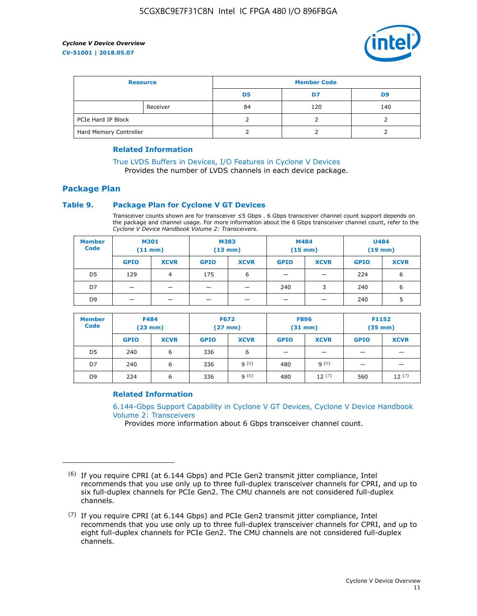

| <b>Resource</b>        |          | <b>Member Code</b> |     |     |  |  |
|------------------------|----------|--------------------|-----|-----|--|--|
|                        |          | D5                 | D7  | D9  |  |  |
|                        | Receiver | 84                 | 120 | 140 |  |  |
| PCIe Hard IP Block     |          |                    |     |     |  |  |
| Hard Memory Controller |          |                    |     |     |  |  |

## **Related Information**

[True LVDS Buffers in Devices, I/O Features in Cyclone V Devices](https://www.altera.com/documentation/sam1403481100977.html#sam1403480885395) Provides the number of LVDS channels in each device package.

# **Package Plan**

#### **Table 9. Package Plan for Cyclone V GT Devices**

Transceiver counts shown are for transceiver ≤5 Gbps . 6 Gbps transceiver channel count support depends on the package and channel usage. For more information about the 6 Gbps transceiver channel count, refer to the *Cyclone V Device Handbook Volume 2: Transceivers*.

| <b>Member</b><br><b>Code</b> | <b>M301</b><br>$(11$ mm) |             | M383<br>$(13 \text{ mm})$ |             | M484<br>(15 mm)          |                          | <b>U484</b><br>$(19$ mm) |             |
|------------------------------|--------------------------|-------------|---------------------------|-------------|--------------------------|--------------------------|--------------------------|-------------|
|                              | <b>GPIO</b>              | <b>XCVR</b> | <b>GPIO</b>               | <b>XCVR</b> | <b>GPIO</b>              | <b>XCVR</b>              | <b>GPIO</b>              | <b>XCVR</b> |
| D <sub>5</sub>               | 129                      | 4           | 175                       | 6           | $\overline{\phantom{0}}$ | $\overline{\phantom{0}}$ | 224                      | 6           |
| D7                           | -                        |             |                           | _           | 240                      | 3                        | 240                      | 6           |
| D <sub>9</sub>               | –                        |             |                           | _           | _                        | –                        | 240                      | 5           |

| <b>Member</b><br><b>Code</b> | <b>F484</b><br>$(23$ mm $)$ |             | <b>F672</b><br>$(27 \text{ mm})$ |             | <b>F896</b><br>$(31$ mm $)$ |             | F1152<br>$(35$ mm $)$ |             |
|------------------------------|-----------------------------|-------------|----------------------------------|-------------|-----------------------------|-------------|-----------------------|-------------|
|                              | <b>GPIO</b>                 | <b>XCVR</b> | <b>GPIO</b>                      | <b>XCVR</b> | <b>GPIO</b>                 | <b>XCVR</b> | <b>GPIO</b>           | <b>XCVR</b> |
| D <sub>5</sub>               | 240                         | 6           | 336                              | 6           | -                           |             |                       |             |
| D7                           | 240                         | 6           | 336                              | q(6)        | 480                         | q(6)        | -                     | _           |
| D <sub>9</sub>               | 224                         | 6           | 336                              | q(6)        | 480                         | 12(7)       | 560                   | 12(7)       |

## **Related Information**

[6.144-Gbps Support Capability in Cyclone V GT Devices, Cyclone V Device Handbook](https://www.altera.com/documentation/nik1409855456781.html#nik1409855410757) [Volume 2: Transceivers](https://www.altera.com/documentation/nik1409855456781.html#nik1409855410757)

Provides more information about 6 Gbps transceiver channel count.

<sup>(6)</sup> If you require CPRI (at 6.144 Gbps) and PCIe Gen2 transmit jitter compliance, Intel recommends that you use only up to three full-duplex transceiver channels for CPRI, and up to six full-duplex channels for PCIe Gen2. The CMU channels are not considered full-duplex channels.

 $(7)$  If you require CPRI (at 6.144 Gbps) and PCIe Gen2 transmit jitter compliance, Intel recommends that you use only up to three full-duplex transceiver channels for CPRI, and up to eight full-duplex channels for PCIe Gen2. The CMU channels are not considered full-duplex channels.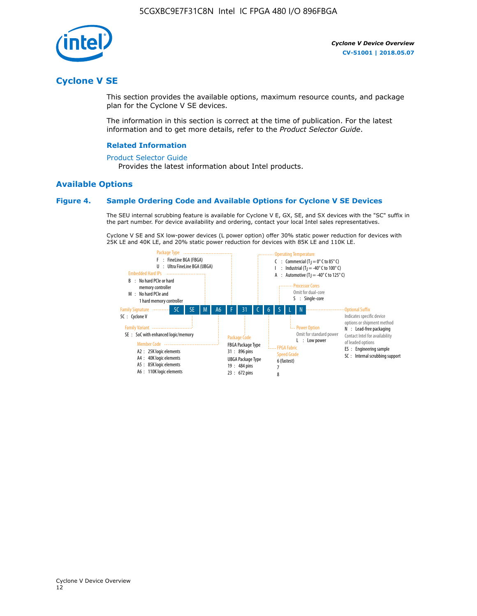

# **Cyclone V SE**

This section provides the available options, maximum resource counts, and package plan for the Cyclone V SE devices.

The information in this section is correct at the time of publication. For the latest information and to get more details, refer to the *Product Selector Guide*.

#### **Related Information**

#### [Product Selector Guide](https://www.altera.com/products/product-selector-guide.html)

Provides the latest information about Intel products.

## **Available Options**

## **Figure 4. Sample Ordering Code and Available Options for Cyclone V SE Devices**

The SEU internal scrubbing feature is available for Cyclone V E, GX, SE, and SX devices with the "SC" suffix in the part number. For device availability and ordering, contact your local Intel sales representatives.

Cyclone V SE and SX low-power devices (L power option) offer 30% static power reduction for devices with 25K LE and 40K LE, and 20% static power reduction for devices with 85K LE and 110K LE.

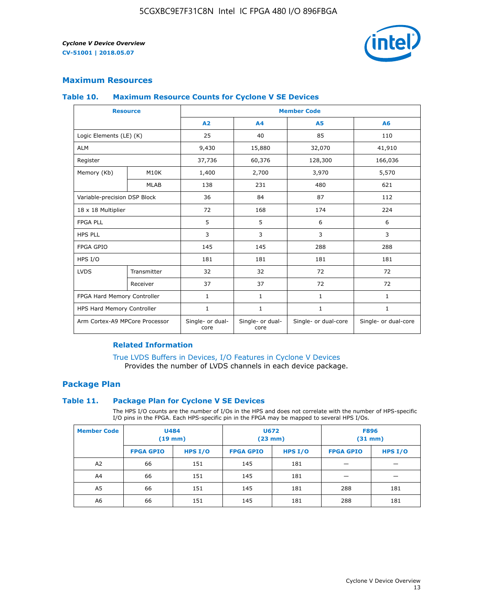

# **Maximum Resources**

#### **Table 10. Maximum Resource Counts for Cyclone V SE Devices**

|                                | <b>Resource</b>              | <b>Member Code</b>       |                          |                      |                      |  |
|--------------------------------|------------------------------|--------------------------|--------------------------|----------------------|----------------------|--|
|                                |                              | A <sub>2</sub>           | A <sub>4</sub>           | <b>A5</b>            | A6                   |  |
| Logic Elements (LE) (K)        |                              | 25                       | 40                       | 85                   | 110                  |  |
| <b>ALM</b>                     |                              | 9,430                    | 15,880                   | 32,070               | 41,910               |  |
| Register                       |                              | 37,736                   | 60,376                   | 128,300              | 166,036              |  |
| Memory (Kb)                    | M10K                         | 1,400                    | 2,700                    | 3,970                | 5,570                |  |
|                                | <b>MLAB</b>                  | 138                      | 231                      | 480                  | 621                  |  |
|                                | Variable-precision DSP Block |                          | 84                       | 87                   | 112                  |  |
| 18 x 18 Multiplier             |                              | 72                       | 168                      | 174                  | 224                  |  |
| <b>FPGA PLL</b>                |                              | 5                        | 5                        | 6                    | 6                    |  |
| <b>HPS PLL</b>                 |                              | 3                        | 3                        | 3                    | 3                    |  |
| <b>FPGA GPIO</b>               |                              | 145                      | 145                      | 288                  | 288                  |  |
| HPS I/O                        |                              | 181                      | 181                      | 181                  | 181                  |  |
| <b>LVDS</b>                    | Transmitter                  | 32                       | 32                       | 72                   | 72                   |  |
|                                | Receiver                     | 37                       | 37                       | 72                   | 72                   |  |
| FPGA Hard Memory Controller    |                              | 1                        | $\mathbf{1}$             | $\mathbf{1}$         | $\mathbf{1}$         |  |
| HPS Hard Memory Controller     |                              | $\mathbf{1}$             | $\mathbf{1}$             | $\mathbf{1}$         | $\mathbf{1}$         |  |
| Arm Cortex-A9 MPCore Processor |                              | Single- or dual-<br>core | Single- or dual-<br>core | Single- or dual-core | Single- or dual-core |  |

# **Related Information**

[True LVDS Buffers in Devices, I/O Features in Cyclone V Devices](https://www.altera.com/documentation/sam1403481100977.html#sam1403480885395) Provides the number of LVDS channels in each device package.

# **Package Plan**

#### **Table 11. Package Plan for Cyclone V SE Devices**

The HPS I/O counts are the number of I/Os in the HPS and does not correlate with the number of HPS-specific I/O pins in the FPGA. Each HPS-specific pin in the FPGA may be mapped to several HPS I/Os.

| <b>Member Code</b> | <b>U484</b><br>$(19$ mm) |           | <b>U672</b><br>(23 mm) |         | <b>F896</b><br>$(31$ mm $)$ |           |
|--------------------|--------------------------|-----------|------------------------|---------|-----------------------------|-----------|
|                    | <b>FPGA GPIO</b>         | HPS $I/O$ | <b>FPGA GPIO</b>       | HPS I/O | <b>FPGA GPIO</b>            | HPS $I/O$ |
| A <sub>2</sub>     | 66                       | 151       | 145                    | 181     |                             |           |
| A4                 | 66                       | 151       | 145                    | 181     |                             |           |
| A <sub>5</sub>     | 66                       | 151       | 145                    | 181     | 288                         | 181       |
| A6                 | 66                       | 151       | 145                    | 181     | 288                         | 181       |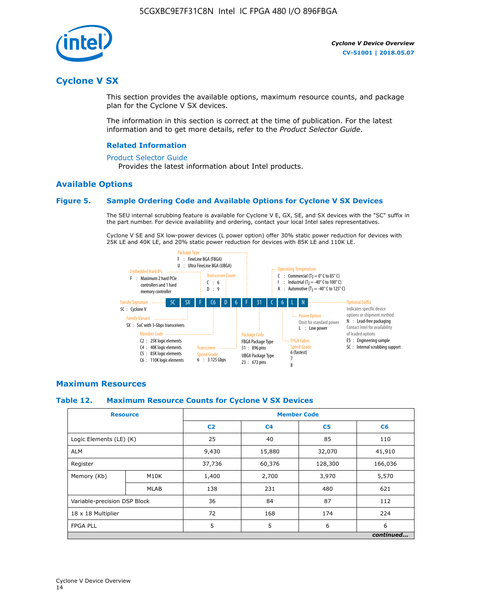

# **Cyclone V SX**

This section provides the available options, maximum resource counts, and package plan for the Cyclone V SX devices.

The information in this section is correct at the time of publication. For the latest information and to get more details, refer to the *Product Selector Guide*.

#### **Related Information**

#### [Product Selector Guide](https://www.altera.com/products/product-selector-guide.html)

Provides the latest information about Intel products.

## **Available Options**

## **Figure 5. Sample Ordering Code and Available Options for Cyclone V SX Devices**

The SEU internal scrubbing feature is available for Cyclone V E, GX, SE, and SX devices with the "SC" suffix in the part number. For device availability and ordering, contact your local Intel sales representatives.

Cyclone V SE and SX low-power devices (L power option) offer 30% static power reduction for devices with 25K LE and 40K LE, and 20% static power reduction for devices with 85K LE and 110K LE.



## **Maximum Resources**

#### **Table 12. Maximum Resource Counts for Cyclone V SX Devices**

|                              | <b>Resource</b> | <b>Member Code</b> |                |                |           |  |
|------------------------------|-----------------|--------------------|----------------|----------------|-----------|--|
|                              |                 | C <sub>2</sub>     | C <sub>4</sub> | C <sub>5</sub> | C6        |  |
| Logic Elements (LE) (K)      |                 | 25                 | 40             | 85             | 110       |  |
| <b>ALM</b>                   |                 | 9,430              | 15,880         | 32,070         | 41,910    |  |
| Register                     |                 | 37,736             | 60,376         | 128,300        | 166,036   |  |
| Memory (Kb)                  | M10K            | 1,400              | 2,700          | 3,970          | 5,570     |  |
|                              | <b>MLAB</b>     | 138                | 231            | 480            | 621       |  |
| Variable-precision DSP Block |                 | 36                 | 84             | 87             | 112       |  |
| 18 x 18 Multiplier           |                 | 72                 | 168            | 174            | 224       |  |
| <b>FPGA PLL</b>              |                 | 5                  | 5              | 6              | 6         |  |
|                              |                 |                    |                |                | continued |  |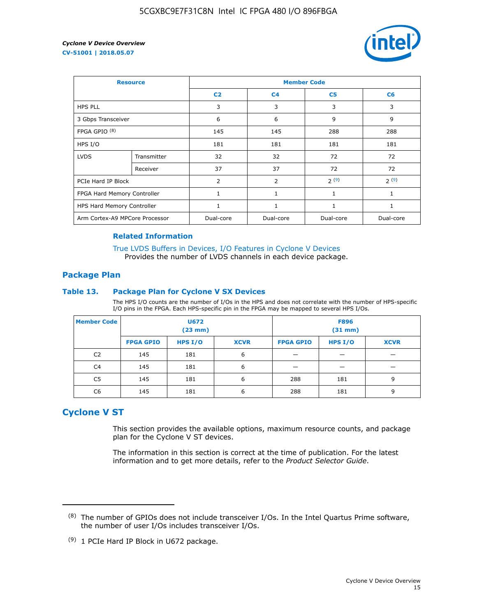

| <b>Resource</b>                |             | <b>Member Code</b> |                |                |                |  |  |
|--------------------------------|-------------|--------------------|----------------|----------------|----------------|--|--|
|                                |             | C <sub>2</sub>     | C <sub>4</sub> | C <sub>5</sub> | C <sub>6</sub> |  |  |
| <b>HPS PLL</b>                 |             | 3                  | 3              | 3              | 3              |  |  |
| 3 Gbps Transceiver             |             | 6                  | 6              | 9              | 9              |  |  |
| FPGA GPIO <sup>(8)</sup>       |             | 145                | 145            | 288            | 288            |  |  |
| HPS I/O                        |             | 181                | 181            | 181            | 181            |  |  |
| <b>LVDS</b>                    | Transmitter | 32                 | 32             | 72             | 72             |  |  |
|                                | Receiver    | 37                 | 37             | 72             | 72             |  |  |
| PCIe Hard IP Block             |             | $\overline{2}$     | $\overline{2}$ | 2(9)           | 2(9)           |  |  |
| FPGA Hard Memory Controller    |             |                    | 1              | 1              | 1              |  |  |
| HPS Hard Memory Controller     |             | 1                  | $\mathbf{1}$   | 1              | 1              |  |  |
| Arm Cortex-A9 MPCore Processor |             | Dual-core          | Dual-core      | Dual-core      | Dual-core      |  |  |

## **Related Information**

[True LVDS Buffers in Devices, I/O Features in Cyclone V Devices](https://www.altera.com/documentation/sam1403481100977.html#sam1403480885395) Provides the number of LVDS channels in each device package.

## **Package Plan**

#### **Table 13. Package Plan for Cyclone V SX Devices**

The HPS I/O counts are the number of I/Os in the HPS and does not correlate with the number of HPS-specific I/O pins in the FPGA. Each HPS-specific pin in the FPGA may be mapped to several HPS I/Os.

| <b>Member Code</b> | U672<br>(23 mm)  |           | <b>F896</b><br>$(31$ mm $)$ |                  |         |             |
|--------------------|------------------|-----------|-----------------------------|------------------|---------|-------------|
|                    | <b>FPGA GPIO</b> | HPS $I/O$ | <b>XCVR</b>                 | <b>FPGA GPIO</b> | HPS I/O | <b>XCVR</b> |
| C <sub>2</sub>     | 145              | 181       | 6                           |                  |         |             |
| C4                 | 145              | 181       | 6                           |                  |         |             |
| C <sub>5</sub>     | 145              | 181       | 6                           | 288              | 181     | 9           |
| C6                 | 145              | 181       | 6                           | 288              | 181     | 9           |

# **Cyclone V ST**

This section provides the available options, maximum resource counts, and package plan for the Cyclone V ST devices.

The information in this section is correct at the time of publication. For the latest information and to get more details, refer to the *Product Selector Guide*.

 $(8)$  The number of GPIOs does not include transceiver I/Os. In the Intel Quartus Prime software, the number of user I/Os includes transceiver I/Os.

<sup>(9)</sup> 1 PCIe Hard IP Block in U672 package.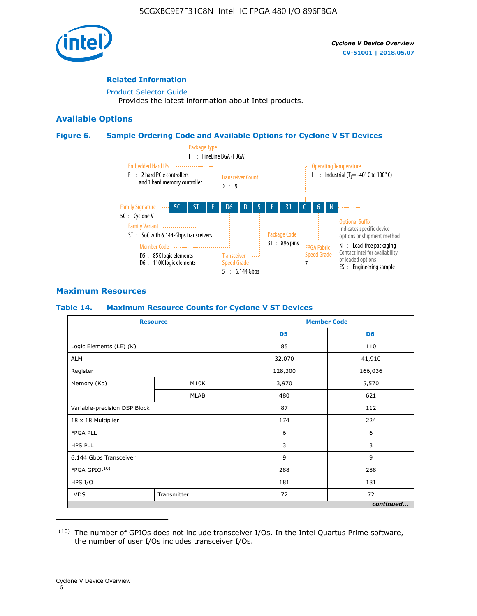

# **Related Information**

[Product Selector Guide](https://www.altera.com/products/product-selector-guide.html) Provides the latest information about Intel products.

# **Available Options**

## **Figure 6. Sample Ordering Code and Available Options for Cyclone V ST Devices**



# **Maximum Resources**

## **Table 14. Maximum Resource Counts for Cyclone V ST Devices**

| <b>Resource</b>              |             |                | <b>Member Code</b> |
|------------------------------|-------------|----------------|--------------------|
|                              |             | D <sub>5</sub> | D <sub>6</sub>     |
| Logic Elements (LE) (K)      |             | 85             | 110                |
| <b>ALM</b>                   |             | 32,070         | 41,910             |
| Register                     |             | 128,300        | 166,036            |
| Memory (Kb)                  | M10K        | 3,970          | 5,570              |
|                              | <b>MLAB</b> | 480            | 621                |
| Variable-precision DSP Block |             | 87             | 112                |
| 18 x 18 Multiplier           |             | 174            | 224                |
| <b>FPGA PLL</b>              |             | 6              | 6                  |
| <b>HPS PLL</b>               |             | 3              | 3                  |
| 6.144 Gbps Transceiver       |             | 9              | 9                  |
| FPGA GPIO(10)                |             | 288            | 288                |
| HPS I/O                      |             | 181            | 181                |
| <b>LVDS</b>                  | Transmitter | 72             | 72                 |
|                              |             |                | continued          |

<sup>(10)</sup> The number of GPIOs does not include transceiver I/Os. In the Intel Quartus Prime software, the number of user I/Os includes transceiver I/Os.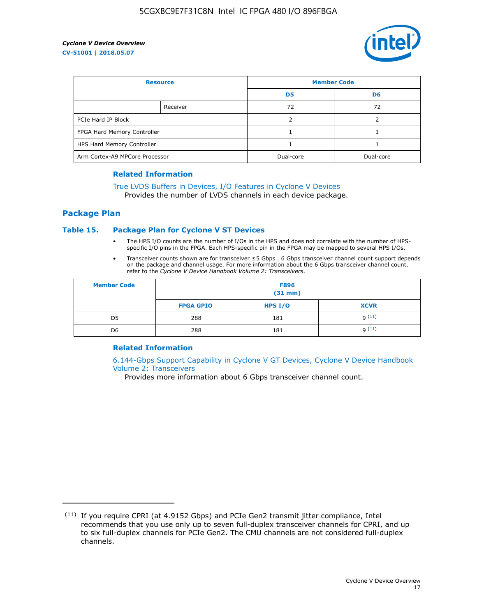

| <b>Resource</b>                |          | <b>Member Code</b> |                |  |
|--------------------------------|----------|--------------------|----------------|--|
|                                |          | D <sub>5</sub>     | D <sub>6</sub> |  |
|                                | Receiver | 72                 | 72             |  |
| PCIe Hard IP Block             |          |                    |                |  |
| FPGA Hard Memory Controller    |          |                    |                |  |
| HPS Hard Memory Controller     |          |                    |                |  |
| Arm Cortex-A9 MPCore Processor |          | Dual-core          | Dual-core      |  |

#### **Related Information**

# [True LVDS Buffers in Devices, I/O Features in Cyclone V Devices](https://www.altera.com/documentation/sam1403481100977.html#sam1403480885395)

Provides the number of LVDS channels in each device package.

## **Package Plan**

#### **Table 15. Package Plan for Cyclone V ST Devices**

- The HPS I/O counts are the number of I/Os in the HPS and does not correlate with the number of HPSspecific I/O pins in the FPGA. Each HPS-specific pin in the FPGA may be mapped to several HPS I/Os.
- Transceiver counts shown are for transceiver ≤5 Gbps . 6 Gbps transceiver channel count support depends on the package and channel usage. For more information about the 6 Gbps transceiver channel count, refer to the *Cyclone V Device Handbook Volume 2: Transceivers*.

| <b>Member Code</b> | <b>F896</b><br>$(31$ mm $)$ |           |             |  |  |
|--------------------|-----------------------------|-----------|-------------|--|--|
|                    | <b>FPGA GPIO</b>            | HPS $I/O$ | <b>XCVR</b> |  |  |
| D <sub>5</sub>     | 288                         | 181       | 9(11)       |  |  |
| D <sub>6</sub>     | 288                         | 181       | q(11)       |  |  |

## **Related Information**

[6.144-Gbps Support Capability in Cyclone V GT Devices, Cyclone V Device Handbook](https://www.altera.com/documentation/nik1409855456781.html#nik1409855410757) [Volume 2: Transceivers](https://www.altera.com/documentation/nik1409855456781.html#nik1409855410757)

Provides more information about 6 Gbps transceiver channel count.

<sup>(11)</sup> If you require CPRI (at 4.9152 Gbps) and PCIe Gen2 transmit jitter compliance, Intel recommends that you use only up to seven full-duplex transceiver channels for CPRI, and up to six full-duplex channels for PCIe Gen2. The CMU channels are not considered full-duplex channels.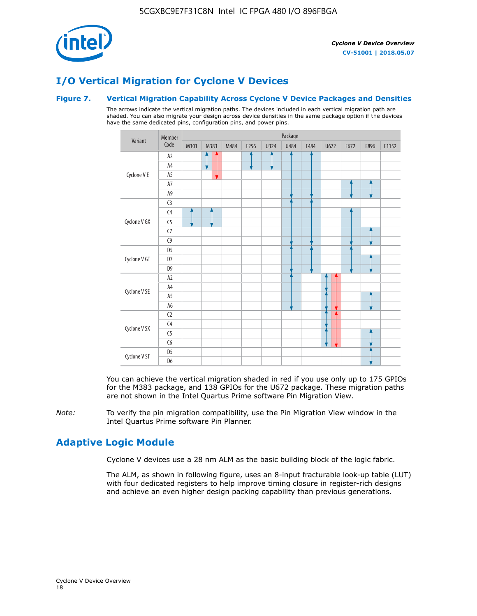

# **I/O Vertical Migration for Cyclone V Devices**

## **Figure 7. Vertical Migration Capability Across Cyclone V Device Packages and Densities**

The arrows indicate the vertical migration paths. The devices included in each vertical migration path are shaded. You can also migrate your design across device densities in the same package option if the devices have the same dedicated pins, configuration pins, and power pins.



You can achieve the vertical migration shaded in red if you use only up to 175 GPIOs for the M383 package, and 138 GPIOs for the U672 package. These migration paths are not shown in the Intel Quartus Prime software Pin Migration View.

*Note:* To verify the pin migration compatibility, use the Pin Migration View window in the Intel Quartus Prime software Pin Planner.

# **Adaptive Logic Module**

Cyclone V devices use a 28 nm ALM as the basic building block of the logic fabric.

The ALM, as shown in following figure, uses an 8-input fracturable look-up table (LUT) with four dedicated registers to help improve timing closure in register-rich designs and achieve an even higher design packing capability than previous generations.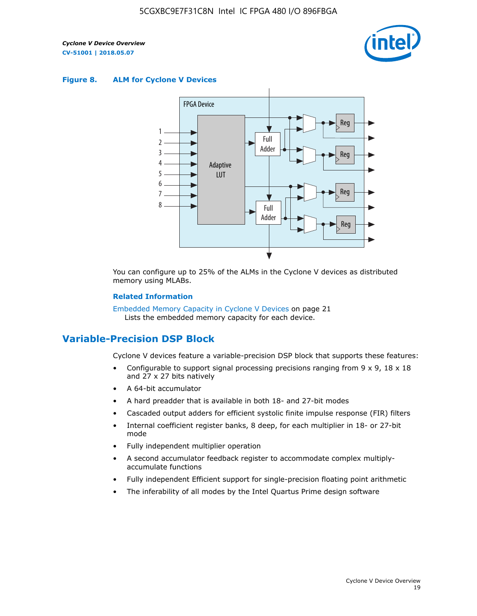

#### **Figure 8. ALM for Cyclone V Devices**



You can configure up to 25% of the ALMs in the Cyclone V devices as distributed memory using MLABs.

#### **Related Information**

Embedded Memory Capacity in Cyclone V Devices on page 21 Lists the embedded memory capacity for each device.

# **Variable-Precision DSP Block**

Cyclone V devices feature a variable-precision DSP block that supports these features:

- Configurable to support signal processing precisions ranging from  $9 \times 9$ ,  $18 \times 18$ and 27 x 27 bits natively
- A 64-bit accumulator
- A hard preadder that is available in both 18- and 27-bit modes
- Cascaded output adders for efficient systolic finite impulse response (FIR) filters
- Internal coefficient register banks, 8 deep, for each multiplier in 18- or 27-bit mode
- Fully independent multiplier operation
- A second accumulator feedback register to accommodate complex multiplyaccumulate functions
- Fully independent Efficient support for single-precision floating point arithmetic
- The inferability of all modes by the Intel Quartus Prime design software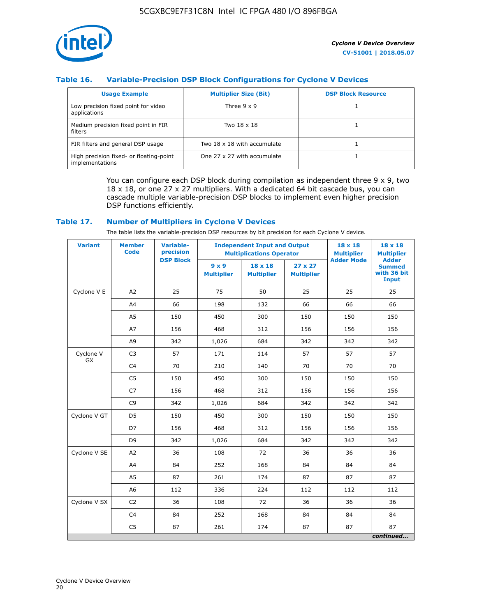

# **Table 16. Variable-Precision DSP Block Configurations for Cyclone V Devices**

| <b>Usage Example</b>                                       | <b>Multiplier Size (Bit)</b> | <b>DSP Block Resource</b> |
|------------------------------------------------------------|------------------------------|---------------------------|
| Low precision fixed point for video<br>applications        | Three $9 \times 9$           |                           |
| Medium precision fixed point in FIR<br>filters             | Two 18 x 18                  |                           |
| FIR filters and general DSP usage                          | Two 18 x 18 with accumulate  |                           |
| High precision fixed- or floating-point<br>implementations | One 27 x 27 with accumulate  |                           |

You can configure each DSP block during compilation as independent three  $9 \times 9$ , two 18 x 18, or one 27 x 27 multipliers. With a dedicated 64 bit cascade bus, you can cascade multiple variable-precision DSP blocks to implement even higher precision DSP functions efficiently.

#### **Table 17. Number of Multipliers in Cyclone V Devices**

The table lists the variable-precision DSP resources by bit precision for each Cyclone V device.

| <b>Variant</b>         | <b>Member</b><br><b>Code</b> | <b>Variable-</b><br>precision |                                   | <b>Independent Input and Output</b><br><b>Multiplications Operator</b> | $18 \times 18$<br><b>Multiplier</b> | $18 \times 18$<br><b>Multiplier</b> |                                                              |
|------------------------|------------------------------|-------------------------------|-----------------------------------|------------------------------------------------------------------------|-------------------------------------|-------------------------------------|--------------------------------------------------------------|
|                        |                              | <b>DSP Block</b>              | $9 \times 9$<br><b>Multiplier</b> | $18 \times 18$<br><b>Multiplier</b>                                    | $27 \times 27$<br><b>Multiplier</b> | <b>Adder Mode</b>                   | <b>Adder</b><br><b>Summed</b><br>with 36 bit<br><b>Input</b> |
| Cyclone V E            | A2                           | 25                            | 75                                | 50                                                                     | 25                                  | 25                                  | 25                                                           |
|                        | A4                           | 66                            | 198                               | 132                                                                    | 66                                  | 66                                  | 66                                                           |
|                        | A <sub>5</sub>               | 150                           | 450                               | 300                                                                    | 150                                 | 150                                 | 150                                                          |
|                        | A7                           | 156                           | 468                               | 312                                                                    | 156                                 | 156                                 | 156                                                          |
|                        | A <sub>9</sub>               | 342                           | 1,026                             | 684                                                                    | 342                                 | 342                                 | 342                                                          |
| Cyclone V<br><b>GX</b> | C <sub>3</sub>               | 57                            | 171                               | 114                                                                    | 57                                  | 57                                  | 57                                                           |
|                        | C <sub>4</sub>               | 70                            | 210                               | 140                                                                    | 70                                  | 70                                  | 70                                                           |
|                        | C <sub>5</sub>               | 150                           | 450                               | 300                                                                    | 150                                 | 150                                 | 150                                                          |
|                        | C <sub>7</sub>               | 156                           | 468                               | 312                                                                    | 156                                 | 156                                 | 156                                                          |
|                        | C <sub>9</sub>               | 342                           | 1,026                             | 684                                                                    | 342                                 | 342                                 | 342                                                          |
| Cyclone V GT           | D <sub>5</sub>               | 150                           | 450                               | 300                                                                    | 150                                 | 150                                 | 150                                                          |
|                        | D7                           | 156                           | 468                               | 312                                                                    | 156                                 | 156                                 | 156                                                          |
|                        | D <sub>9</sub>               | 342                           | 1,026                             | 684                                                                    | 342                                 | 342                                 | 342                                                          |
| Cyclone V SE           | A <sub>2</sub>               | 36                            | 108                               | 72                                                                     | 36                                  | 36                                  | 36                                                           |
|                        | A4                           | 84                            | 252                               | 168                                                                    | 84                                  | 84                                  | 84                                                           |
|                        | A5                           | 87                            | 261                               | 174                                                                    | 87                                  | 87                                  | 87                                                           |
|                        | A <sub>6</sub>               | 112                           | 336                               | 224                                                                    | 112                                 | 112                                 | 112                                                          |
| Cyclone V SX           | C <sub>2</sub>               | 36                            | 108                               | 72                                                                     | 36                                  | 36                                  | 36                                                           |
|                        | C <sub>4</sub>               | 84                            | 252                               | 168                                                                    | 84                                  | 84                                  | 84                                                           |
|                        | C <sub>5</sub>               | 87                            | 261                               | 174                                                                    | 87                                  | 87                                  | 87                                                           |
|                        |                              |                               |                                   |                                                                        |                                     |                                     | continued                                                    |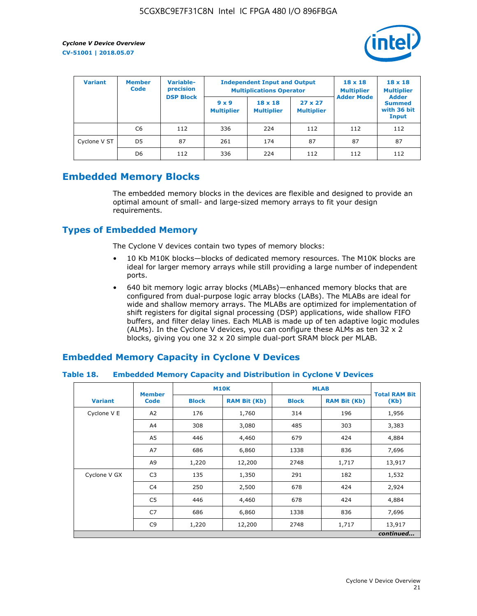

| <b>Variant</b> | Variable-<br><b>Member</b><br>precision<br><b>Code</b> |                  | <b>Independent Input and Output</b><br><b>Multiplications Operator</b> | $18 \times 18$<br><b>Multiplier</b> | $18 \times 18$<br><b>Multiplier</b><br><b>Adder</b> |                   |                                       |
|----------------|--------------------------------------------------------|------------------|------------------------------------------------------------------------|-------------------------------------|-----------------------------------------------------|-------------------|---------------------------------------|
|                |                                                        | <b>DSP Block</b> | $9 \times 9$<br><b>Multiplier</b>                                      | $18 \times 18$<br><b>Multiplier</b> | $27 \times 27$<br><b>Multiplier</b>                 | <b>Adder Mode</b> | <b>Summed</b><br>with 36 bit<br>Input |
|                | C6                                                     | 112              | 336                                                                    | 224                                 | 112                                                 | 112               | 112                                   |
| Cyclone V ST   | D <sub>5</sub>                                         | 87               | 261                                                                    | 174                                 | 87                                                  | 87                | 87                                    |
|                | D <sub>6</sub>                                         | 112              | 336                                                                    | 224                                 | 112                                                 | 112               | 112                                   |

# **Embedded Memory Blocks**

The embedded memory blocks in the devices are flexible and designed to provide an optimal amount of small- and large-sized memory arrays to fit your design requirements.

# **Types of Embedded Memory**

The Cyclone V devices contain two types of memory blocks:

- 10 Kb M10K blocks—blocks of dedicated memory resources. The M10K blocks are ideal for larger memory arrays while still providing a large number of independent ports.
- 640 bit memory logic array blocks (MLABs)—enhanced memory blocks that are configured from dual-purpose logic array blocks (LABs). The MLABs are ideal for wide and shallow memory arrays. The MLABs are optimized for implementation of shift registers for digital signal processing (DSP) applications, wide shallow FIFO buffers, and filter delay lines. Each MLAB is made up of ten adaptive logic modules (ALMs). In the Cyclone V devices, you can configure these ALMs as ten 32 x 2 blocks, giving you one 32 x 20 simple dual-port SRAM block per MLAB.

# **Embedded Memory Capacity in Cyclone V Devices**

## **Table 18. Embedded Memory Capacity and Distribution in Cyclone V Devices**

|                | <b>Member</b>  | <b>M10K</b>  |                     | <b>MLAB</b>  | <b>Total RAM Bit</b> |           |
|----------------|----------------|--------------|---------------------|--------------|----------------------|-----------|
| <b>Variant</b> | <b>Code</b>    | <b>Block</b> | <b>RAM Bit (Kb)</b> | <b>Block</b> | <b>RAM Bit (Kb)</b>  | (Kb)      |
| Cyclone V E    | A2             | 176          | 1,760               | 314          | 196                  | 1,956     |
|                | A4             | 308          | 3,080               | 485          | 303                  | 3,383     |
|                | A5             | 446          | 4,460               | 679          | 424                  | 4,884     |
|                | A7             | 686          | 6,860               | 1338         | 836                  | 7,696     |
|                | A9             | 1,220        | 12,200              | 2748         | 1,717                | 13,917    |
| Cyclone V GX   | C <sub>3</sub> | 135          | 1,350               | 291          | 182                  | 1,532     |
|                | C4             | 250          | 2,500               | 678          | 424                  | 2,924     |
|                | C5             | 446          | 4,460               | 678          | 424                  | 4,884     |
|                | C7             | 686          | 6,860               | 1338         | 836                  | 7,696     |
|                | C <sub>9</sub> | 1,220        | 12,200              | 2748         | 1,717                | 13,917    |
|                |                |              |                     |              |                      | continued |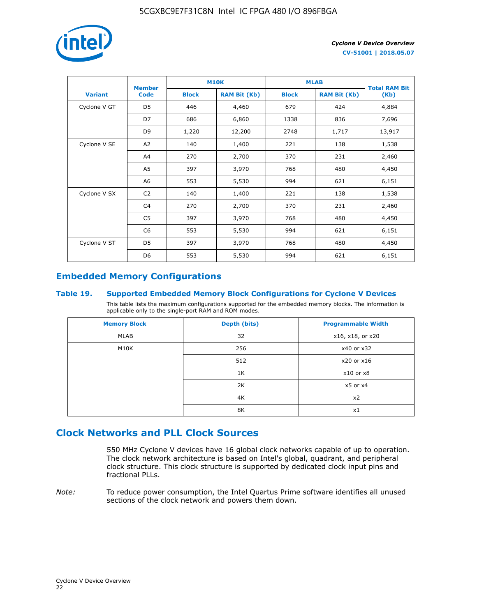

|                | <b>Member</b>  | <b>M10K</b>  |                     | <b>MLAB</b>  | <b>Total RAM Bit</b> |        |  |
|----------------|----------------|--------------|---------------------|--------------|----------------------|--------|--|
| <b>Variant</b> | <b>Code</b>    | <b>Block</b> | <b>RAM Bit (Kb)</b> | <b>Block</b> | <b>RAM Bit (Kb)</b>  | (Kb)   |  |
| Cyclone V GT   | D <sub>5</sub> | 446          | 4,460               | 679          | 424                  | 4,884  |  |
|                | D7             | 686          | 6,860               | 1338         | 836                  | 7,696  |  |
|                | D <sub>9</sub> | 1,220        | 12,200              | 2748         | 1,717                | 13,917 |  |
| Cyclone V SE   | A <sub>2</sub> | 140          | 1,400               | 221          | 138                  | 1,538  |  |
|                | A4             | 270          | 2,700               | 370          | 231                  | 2,460  |  |
|                | A5             | 397          | 3,970               | 768          | 480                  | 4,450  |  |
|                | A6             | 553          | 5,530               | 994          | 621                  | 6,151  |  |
| Cyclone V SX   | C <sub>2</sub> | 140          | 1,400               | 221          | 138                  | 1,538  |  |
|                | C4             | 270          | 2,700               | 370          | 231                  | 2,460  |  |
|                | C5             | 397          | 3,970               | 768          | 480                  | 4,450  |  |
|                | C <sub>6</sub> | 553          | 5,530               | 994          | 621                  | 6,151  |  |
| Cyclone V ST   | D <sub>5</sub> | 397          | 3,970               | 768          | 480                  | 4,450  |  |
|                | D <sub>6</sub> | 553          | 5,530               | 994          | 621                  | 6,151  |  |

# **Embedded Memory Configurations**

## **Table 19. Supported Embedded Memory Block Configurations for Cyclone V Devices**

This table lists the maximum configurations supported for the embedded memory blocks. The information is applicable only to the single-port RAM and ROM modes.

| <b>Memory Block</b> | Depth (bits) | <b>Programmable Width</b> |
|---------------------|--------------|---------------------------|
| MLAB                | 32           | x16, x18, or x20          |
| M10K                | 256          | x40 or x32                |
|                     | 512          | x20 or x16                |
|                     | 1K           | $x10$ or $x8$             |
|                     | 2K           | $x5$ or $x4$              |
|                     | 4K           | x2                        |
|                     | 8K           | x1                        |

# **Clock Networks and PLL Clock Sources**

550 MHz Cyclone V devices have 16 global clock networks capable of up to operation. The clock network architecture is based on Intel's global, quadrant, and peripheral clock structure. This clock structure is supported by dedicated clock input pins and fractional PLLs.

*Note:* To reduce power consumption, the Intel Quartus Prime software identifies all unused sections of the clock network and powers them down.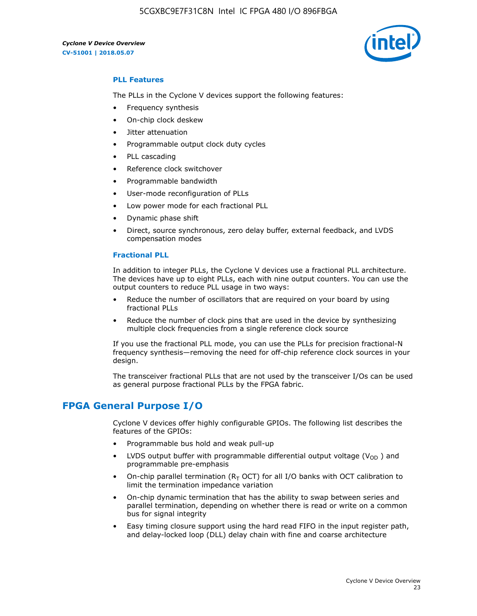

## **PLL Features**

The PLLs in the Cyclone V devices support the following features:

- Frequency synthesis
- On-chip clock deskew
- Jitter attenuation
- Programmable output clock duty cycles
- PLL cascading
- Reference clock switchover
- Programmable bandwidth
- User-mode reconfiguration of PLLs
- Low power mode for each fractional PLL
- Dynamic phase shift
- Direct, source synchronous, zero delay buffer, external feedback, and LVDS compensation modes

#### **Fractional PLL**

In addition to integer PLLs, the Cyclone V devices use a fractional PLL architecture. The devices have up to eight PLLs, each with nine output counters. You can use the output counters to reduce PLL usage in two ways:

- Reduce the number of oscillators that are required on your board by using fractional PLLs
- Reduce the number of clock pins that are used in the device by synthesizing multiple clock frequencies from a single reference clock source

If you use the fractional PLL mode, you can use the PLLs for precision fractional-N frequency synthesis—removing the need for off-chip reference clock sources in your design.

The transceiver fractional PLLs that are not used by the transceiver I/Os can be used as general purpose fractional PLLs by the FPGA fabric.

# **FPGA General Purpose I/O**

Cyclone V devices offer highly configurable GPIOs. The following list describes the features of the GPIOs:

- Programmable bus hold and weak pull-up
- LVDS output buffer with programmable differential output voltage ( $V_{OD}$ ) and programmable pre-emphasis
- On-chip parallel termination ( $R<sub>T</sub>$  OCT) for all I/O banks with OCT calibration to limit the termination impedance variation
- On-chip dynamic termination that has the ability to swap between series and parallel termination, depending on whether there is read or write on a common bus for signal integrity
- Easy timing closure support using the hard read FIFO in the input register path, and delay-locked loop (DLL) delay chain with fine and coarse architecture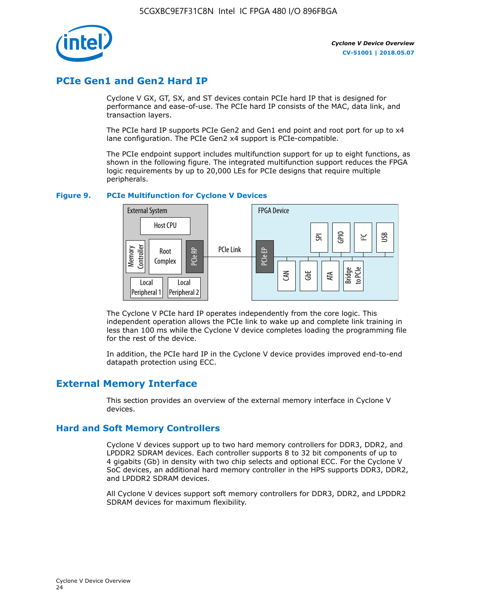

# **PCIe Gen1 and Gen2 Hard IP**

Cyclone V GX, GT, SX, and ST devices contain PCIe hard IP that is designed for performance and ease-of-use. The PCIe hard IP consists of the MAC, data link, and transaction layers.

The PCIe hard IP supports PCIe Gen2 and Gen1 end point and root port for up to x4 lane configuration. The PCIe Gen2 x4 support is PCIe-compatible.

The PCIe endpoint support includes multifunction support for up to eight functions, as shown in the following figure. The integrated multifunction support reduces the FPGA logic requirements by up to 20,000 LEs for PCIe designs that require multiple peripherals.

## **Figure 9. PCIe Multifunction for Cyclone V Devices**



The Cyclone V PCIe hard IP operates independently from the core logic. This independent operation allows the PCIe link to wake up and complete link training in less than 100 ms while the Cyclone V device completes loading the programming file for the rest of the device.

In addition, the PCIe hard IP in the Cyclone V device provides improved end-to-end datapath protection using ECC.

# **External Memory Interface**

This section provides an overview of the external memory interface in Cyclone V devices.

# **Hard and Soft Memory Controllers**

Cyclone V devices support up to two hard memory controllers for DDR3, DDR2, and LPDDR2 SDRAM devices. Each controller supports 8 to 32 bit components of up to 4 gigabits (Gb) in density with two chip selects and optional ECC. For the Cyclone V SoC devices, an additional hard memory controller in the HPS supports DDR3, DDR2, and LPDDR2 SDRAM devices.

All Cyclone V devices support soft memory controllers for DDR3, DDR2, and LPDDR2 SDRAM devices for maximum flexibility.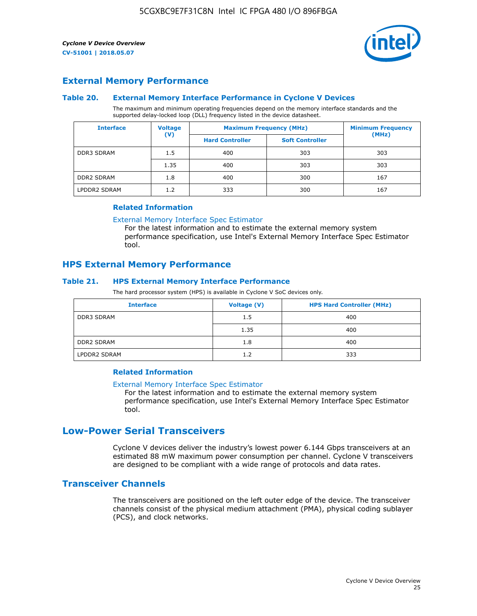

# **External Memory Performance**

## **Table 20. External Memory Interface Performance in Cyclone V Devices**

The maximum and minimum operating frequencies depend on the memory interface standards and the supported delay-locked loop (DLL) frequency listed in the device datasheet.

| <b>Interface</b>  | <b>Voltage</b> | <b>Maximum Frequency (MHz)</b> | <b>Minimum Frequency</b> |       |  |
|-------------------|----------------|--------------------------------|--------------------------|-------|--|
|                   | $(\mathsf{V})$ | <b>Hard Controller</b>         | <b>Soft Controller</b>   | (MHz) |  |
| <b>DDR3 SDRAM</b> | 1.5            | 400                            | 303                      | 303   |  |
|                   | 1.35           | 400                            | 303                      | 303   |  |
| <b>DDR2 SDRAM</b> | 1.8            | 400                            | 300                      | 167   |  |
| LPDDR2 SDRAM      | 1.2            | 333                            | 300                      | 167   |  |

#### **Related Information**

[External Memory Interface Spec Estimator](https://www.altera.com/solutions/technology/external-memory/spec-estimator.html)

For the latest information and to estimate the external memory system performance specification, use Intel's External Memory Interface Spec Estimator tool.

# **HPS External Memory Performance**

## **Table 21. HPS External Memory Interface Performance**

The hard processor system (HPS) is available in Cyclone V SoC devices only.

| <b>Interface</b>  | Voltage (V) | <b>HPS Hard Controller (MHz)</b> |
|-------------------|-------------|----------------------------------|
| <b>DDR3 SDRAM</b> | 1.5         | 400                              |
|                   | 1.35        | 400                              |
| <b>DDR2 SDRAM</b> | 1.8         | 400                              |
| LPDDR2 SDRAM      | 1.2         | 333                              |

# **Related Information**

#### [External Memory Interface Spec Estimator](https://www.altera.com/solutions/technology/external-memory/spec-estimator.html)

For the latest information and to estimate the external memory system performance specification, use Intel's External Memory Interface Spec Estimator tool.

# **Low-Power Serial Transceivers**

Cyclone V devices deliver the industry's lowest power 6.144 Gbps transceivers at an estimated 88 mW maximum power consumption per channel. Cyclone V transceivers are designed to be compliant with a wide range of protocols and data rates.

# **Transceiver Channels**

The transceivers are positioned on the left outer edge of the device. The transceiver channels consist of the physical medium attachment (PMA), physical coding sublayer (PCS), and clock networks.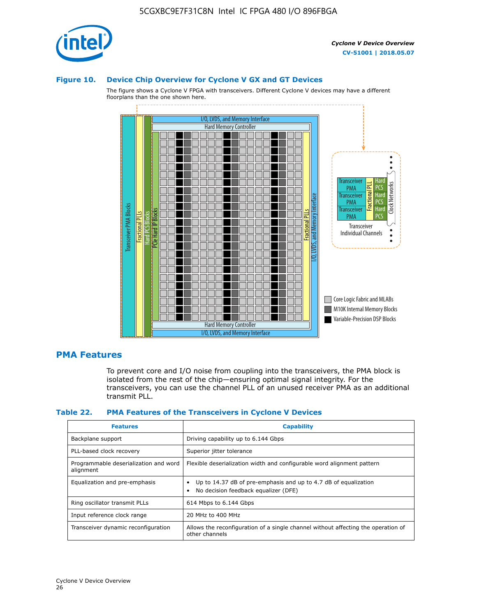

#### **Figure 10. Device Chip Overview for Cyclone V GX and GT Devices**

The figure shows a Cyclone V FPGA with transceivers. Different Cyclone V devices may have a different floorplans than the one shown here.



# **PMA Features**

To prevent core and I/O noise from coupling into the transceivers, the PMA block is isolated from the rest of the chip—ensuring optimal signal integrity. For the transceivers, you can use the channel PLL of an unused receiver PMA as an additional transmit PLL.

#### **Table 22. PMA Features of the Transceivers in Cyclone V Devices**

| <b>Features</b>                                    | <b>Capability</b>                                                                                       |
|----------------------------------------------------|---------------------------------------------------------------------------------------------------------|
| Backplane support                                  | Driving capability up to 6.144 Gbps                                                                     |
| PLL-based clock recovery                           | Superior jitter tolerance                                                                               |
| Programmable deserialization and word<br>alignment | Flexible deserialization width and configurable word alignment pattern                                  |
| Equalization and pre-emphasis                      | Up to 14.37 dB of pre-emphasis and up to 4.7 dB of equalization<br>No decision feedback equalizer (DFE) |
| Ring oscillator transmit PLLs                      | 614 Mbps to 6.144 Gbps                                                                                  |
| Input reference clock range                        | 20 MHz to 400 MHz                                                                                       |
| Transceiver dynamic reconfiguration                | Allows the reconfiguration of a single channel without affecting the operation of<br>other channels     |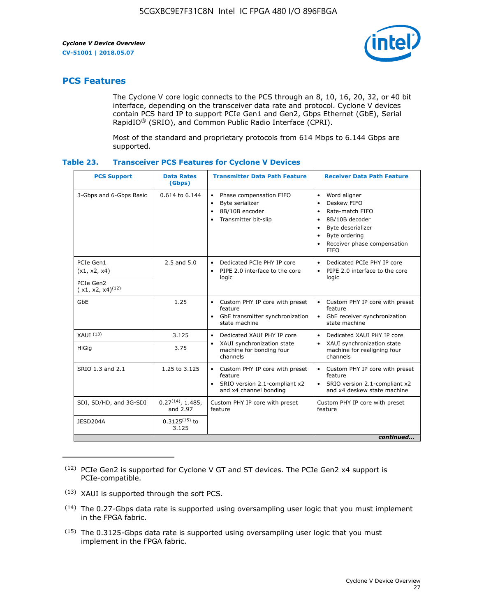

# **PCS Features**

The Cyclone V core logic connects to the PCS through an 8, 10, 16, 20, 32, or 40 bit interface, depending on the transceiver data rate and protocol. Cyclone V devices contain PCS hard IP to support PCIe Gen1 and Gen2, Gbps Ethernet (GbE), Serial RapidIO® (SRIO), and Common Public Radio Interface (CPRI).

Most of the standard and proprietary protocols from 614 Mbps to 6.144 Gbps are supported.

| Table 23. | <b>Transceiver PCS Features for Cyclone V Devices</b> |  |  |  |
|-----------|-------------------------------------------------------|--|--|--|
|-----------|-------------------------------------------------------|--|--|--|

| <b>PCS Support</b>                 | <b>Data Rates</b><br>(Gbps)        | <b>Transmitter Data Path Feature</b>                                                                         | <b>Receiver Data Path Feature</b>                                                                                                                                                                                                  |  |  |  |
|------------------------------------|------------------------------------|--------------------------------------------------------------------------------------------------------------|------------------------------------------------------------------------------------------------------------------------------------------------------------------------------------------------------------------------------------|--|--|--|
| 3-Gbps and 6-Gbps Basic            | 0.614 to 6.144                     | • Phase compensation FIFO<br>Byte serializer<br>8B/10B encoder<br>Transmitter bit-slip                       | Word aligner<br>$\bullet$<br>Deskew FIFO<br>$\bullet$<br>Rate-match FIFO<br>$\bullet$<br>8B/10B decoder<br>$\bullet$<br>Byte deserializer<br>$\bullet$<br>Byte ordering<br>$\bullet$<br>Receiver phase compensation<br><b>FIFO</b> |  |  |  |
| PCIe Gen1<br>(x1, x2, x4)          | $2.5$ and $5.0$                    | Dedicated PCIe PHY IP core<br>PIPE 2.0 interface to the core<br>$\bullet$<br>logic                           | Dedicated PCIe PHY IP core<br>$\bullet$<br>PIPE 2.0 interface to the core<br>$\bullet$<br>logic                                                                                                                                    |  |  |  |
| PCIe Gen2<br>$(x1, x2, x4)^{(12)}$ |                                    |                                                                                                              |                                                                                                                                                                                                                                    |  |  |  |
| GbE                                | 1.25                               | • Custom PHY IP core with preset<br>feature<br>GbE transmitter synchronization<br>$\bullet$<br>state machine | • Custom PHY IP core with preset<br>feature<br>GbE receiver synchronization<br>state machine                                                                                                                                       |  |  |  |
| $XAUI$ $(13)$                      | 3.125                              | Dedicated XAUI PHY IP core<br>$\bullet$                                                                      | Dedicated XAUI PHY IP core<br>$\bullet$                                                                                                                                                                                            |  |  |  |
| HiGig                              | 3.75                               | XAUI synchronization state<br>$\bullet$<br>machine for bonding four<br>channels                              | XAUI synchronization state<br>$\bullet$<br>machine for realigning four<br>channels                                                                                                                                                 |  |  |  |
| SRIO 1.3 and 2.1                   | 1.25 to 3.125                      | • Custom PHY IP core with preset<br>feature<br>• SRIO version 2.1-compliant x2<br>and x4 channel bonding     | • Custom PHY IP core with preset<br>feature<br>• SRIO version 2.1-compliant x2<br>and x4 deskew state machine                                                                                                                      |  |  |  |
| SDI, SD/HD, and 3G-SDI             | $0.27^{(14)}$ , 1.485,<br>and 2.97 | Custom PHY IP core with preset<br>feature                                                                    | Custom PHY IP core with preset<br>feature                                                                                                                                                                                          |  |  |  |
| JESD204A                           | $0.3125^{(15)}$ to<br>3.125        |                                                                                                              |                                                                                                                                                                                                                                    |  |  |  |
| continued                          |                                    |                                                                                                              |                                                                                                                                                                                                                                    |  |  |  |

<sup>(12)</sup> PCIe Gen2 is supported for Cyclone V GT and ST devices. The PCIe Gen2 x4 support is PCIe-compatible.

<sup>(13)</sup> XAUI is supported through the soft PCS.

<sup>(14)</sup> The 0.27-Gbps data rate is supported using oversampling user logic that you must implement in the FPGA fabric.

<sup>(15)</sup> The 0.3125-Gbps data rate is supported using oversampling user logic that you must implement in the FPGA fabric.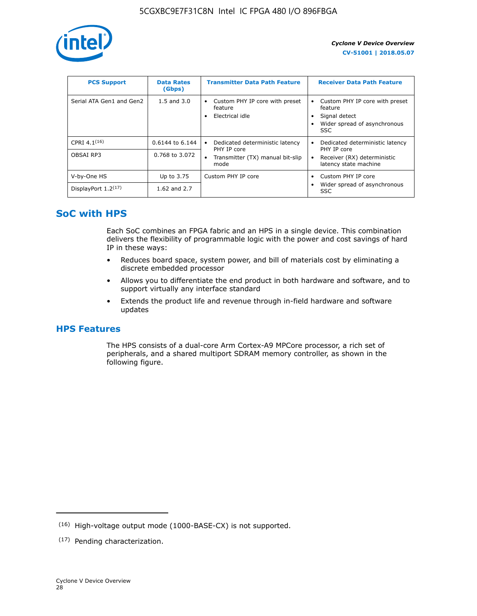

| <b>PCS Support</b>       | <b>Data Rates</b><br>(Gbps) | <b>Transmitter Data Path Feature</b>                         | <b>Receiver Data Path Feature</b>                                                                        |
|--------------------------|-----------------------------|--------------------------------------------------------------|----------------------------------------------------------------------------------------------------------|
| Serial ATA Gen1 and Gen2 | $1.5$ and $3.0$             | Custom PHY IP core with preset<br>feature<br>Electrical idle | Custom PHY IP core with preset<br>feature<br>Signal detect<br>Wider spread of asynchronous<br><b>SSC</b> |
| CPRI 4.1 $(16)$          | 0.6144 to 6.144             | Dedicated deterministic latency<br>٠<br>PHY IP core          | Dedicated deterministic latency<br>PHY IP core                                                           |
| OBSAI RP3                | 0.768 to 3.072              | Transmitter (TX) manual bit-slip<br>$\bullet$<br>mode        | Receiver (RX) deterministic<br>latency state machine                                                     |
| V-by-One HS              | Up to 3.75                  | Custom PHY IP core                                           | Custom PHY IP core                                                                                       |
| DisplayPort $1.2^{(17)}$ | 1.62 and 2.7                |                                                              | Wider spread of asynchronous<br><b>SSC</b>                                                               |

# **SoC with HPS**

Each SoC combines an FPGA fabric and an HPS in a single device. This combination delivers the flexibility of programmable logic with the power and cost savings of hard IP in these ways:

- Reduces board space, system power, and bill of materials cost by eliminating a discrete embedded processor
- Allows you to differentiate the end product in both hardware and software, and to support virtually any interface standard
- Extends the product life and revenue through in-field hardware and software updates

# **HPS Features**

The HPS consists of a dual-core Arm Cortex-A9 MPCore processor, a rich set of peripherals, and a shared multiport SDRAM memory controller, as shown in the following figure.

<sup>(16)</sup> High-voltage output mode (1000-BASE-CX) is not supported.

<sup>(17)</sup> Pending characterization.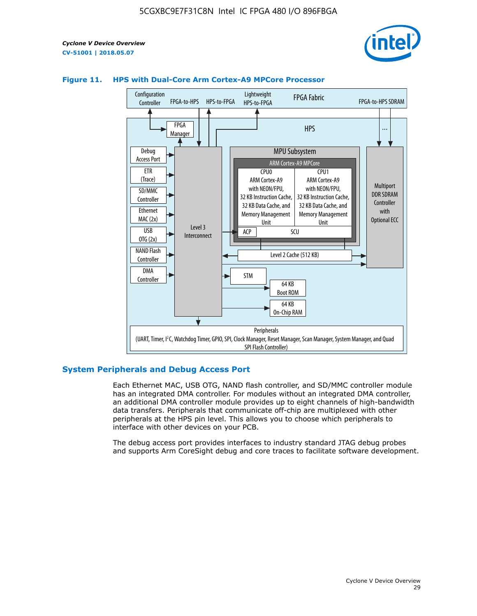



# **Figure 11. HPS with Dual-Core Arm Cortex-A9 MPCore Processor**

## **System Peripherals and Debug Access Port**

Each Ethernet MAC, USB OTG, NAND flash controller, and SD/MMC controller module has an integrated DMA controller. For modules without an integrated DMA controller, an additional DMA controller module provides up to eight channels of high-bandwidth data transfers. Peripherals that communicate off-chip are multiplexed with other peripherals at the HPS pin level. This allows you to choose which peripherals to interface with other devices on your PCB.

The debug access port provides interfaces to industry standard JTAG debug probes and supports Arm CoreSight debug and core traces to facilitate software development.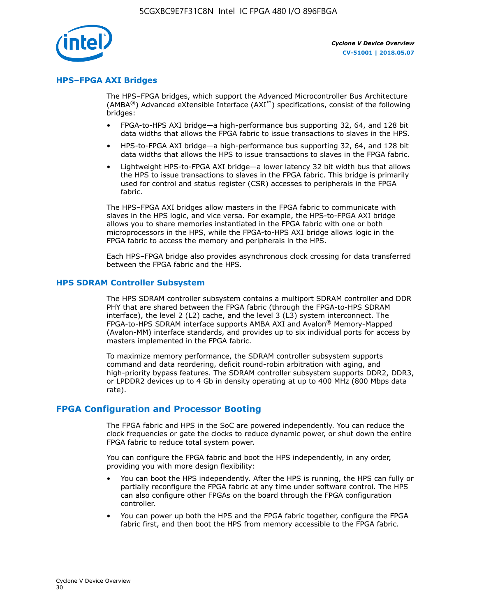

# **HPS–FPGA AXI Bridges**

The HPS–FPGA bridges, which support the Advanced Microcontroller Bus Architecture (AMBA<sup>®</sup>) Advanced eXtensible Interface (AXI<sup>™</sup>) specifications, consist of the following bridges:

- FPGA-to-HPS AXI bridge—a high-performance bus supporting 32, 64, and 128 bit data widths that allows the FPGA fabric to issue transactions to slaves in the HPS.
- HPS-to-FPGA AXI bridge—a high-performance bus supporting 32, 64, and 128 bit data widths that allows the HPS to issue transactions to slaves in the FPGA fabric.
- Lightweight HPS-to-FPGA AXI bridge—a lower latency 32 bit width bus that allows the HPS to issue transactions to slaves in the FPGA fabric. This bridge is primarily used for control and status register (CSR) accesses to peripherals in the FPGA fabric.

The HPS–FPGA AXI bridges allow masters in the FPGA fabric to communicate with slaves in the HPS logic, and vice versa. For example, the HPS-to-FPGA AXI bridge allows you to share memories instantiated in the FPGA fabric with one or both microprocessors in the HPS, while the FPGA-to-HPS AXI bridge allows logic in the FPGA fabric to access the memory and peripherals in the HPS.

Each HPS–FPGA bridge also provides asynchronous clock crossing for data transferred between the FPGA fabric and the HPS.

## **HPS SDRAM Controller Subsystem**

The HPS SDRAM controller subsystem contains a multiport SDRAM controller and DDR PHY that are shared between the FPGA fabric (through the FPGA-to-HPS SDRAM interface), the level 2 (L2) cache, and the level 3 (L3) system interconnect. The FPGA-to-HPS SDRAM interface supports AMBA AXI and Avalon® Memory-Mapped (Avalon-MM) interface standards, and provides up to six individual ports for access by masters implemented in the FPGA fabric.

To maximize memory performance, the SDRAM controller subsystem supports command and data reordering, deficit round-robin arbitration with aging, and high-priority bypass features. The SDRAM controller subsystem supports DDR2, DDR3, or LPDDR2 devices up to 4 Gb in density operating at up to 400 MHz (800 Mbps data rate).

## **FPGA Configuration and Processor Booting**

The FPGA fabric and HPS in the SoC are powered independently. You can reduce the clock frequencies or gate the clocks to reduce dynamic power, or shut down the entire FPGA fabric to reduce total system power.

You can configure the FPGA fabric and boot the HPS independently, in any order, providing you with more design flexibility:

- You can boot the HPS independently. After the HPS is running, the HPS can fully or partially reconfigure the FPGA fabric at any time under software control. The HPS can also configure other FPGAs on the board through the FPGA configuration controller.
- You can power up both the HPS and the FPGA fabric together, configure the FPGA fabric first, and then boot the HPS from memory accessible to the FPGA fabric.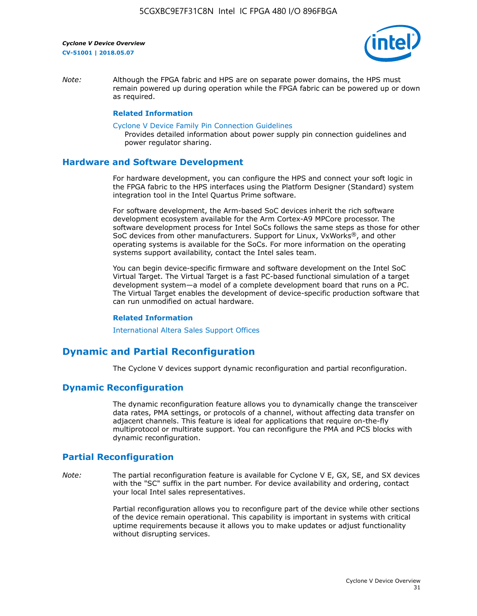

*Note:* Although the FPGA fabric and HPS are on separate power domains, the HPS must remain powered up during operation while the FPGA fabric can be powered up or down as required.

#### **Related Information**

[Cyclone V Device Family Pin Connection Guidelines](https://www.altera.com/content/dam/altera-www/global/en_US/pdfs/literature/dp/cyclone-v/pcg-01014.pdf)

Provides detailed information about power supply pin connection guidelines and power regulator sharing.

## **Hardware and Software Development**

For hardware development, you can configure the HPS and connect your soft logic in the FPGA fabric to the HPS interfaces using the Platform Designer (Standard) system integration tool in the Intel Quartus Prime software.

For software development, the Arm-based SoC devices inherit the rich software development ecosystem available for the Arm Cortex-A9 MPCore processor. The software development process for Intel SoCs follows the same steps as those for other SoC devices from other manufacturers. Support for Linux, VxWorks®, and other operating systems is available for the SoCs. For more information on the operating systems support availability, contact the Intel sales team.

You can begin device-specific firmware and software development on the Intel SoC Virtual Target. The Virtual Target is a fast PC-based functional simulation of a target development system—a model of a complete development board that runs on a PC. The Virtual Target enables the development of device-specific production software that can run unmodified on actual hardware.

#### **Related Information**

[International Altera Sales Support Offices](https://www.altera.com/about/contact/contact/international-altera-sales-offices.html)

# **Dynamic and Partial Reconfiguration**

The Cyclone V devices support dynamic reconfiguration and partial reconfiguration.

# **Dynamic Reconfiguration**

The dynamic reconfiguration feature allows you to dynamically change the transceiver data rates, PMA settings, or protocols of a channel, without affecting data transfer on adjacent channels. This feature is ideal for applications that require on-the-fly multiprotocol or multirate support. You can reconfigure the PMA and PCS blocks with dynamic reconfiguration.

# **Partial Reconfiguration**

*Note:* The partial reconfiguration feature is available for Cyclone V E, GX, SE, and SX devices with the "SC" suffix in the part number. For device availability and ordering, contact your local Intel sales representatives.

> Partial reconfiguration allows you to reconfigure part of the device while other sections of the device remain operational. This capability is important in systems with critical uptime requirements because it allows you to make updates or adjust functionality without disrupting services.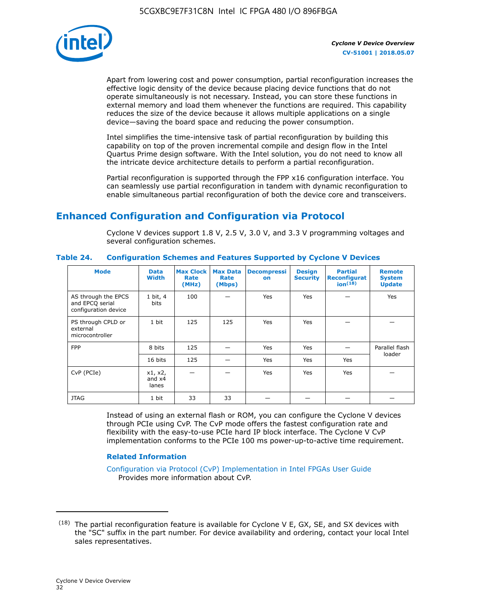

Apart from lowering cost and power consumption, partial reconfiguration increases the effective logic density of the device because placing device functions that do not operate simultaneously is not necessary. Instead, you can store these functions in external memory and load them whenever the functions are required. This capability reduces the size of the device because it allows multiple applications on a single device—saving the board space and reducing the power consumption.

Intel simplifies the time-intensive task of partial reconfiguration by building this capability on top of the proven incremental compile and design flow in the Intel Quartus Prime design software. With the Intel solution, you do not need to know all the intricate device architecture details to perform a partial reconfiguration.

Partial reconfiguration is supported through the FPP x16 configuration interface. You can seamlessly use partial reconfiguration in tandem with dynamic reconfiguration to enable simultaneous partial reconfiguration of both the device core and transceivers.

# **Enhanced Configuration and Configuration via Protocol**

Cyclone V devices support 1.8 V, 2.5 V, 3.0 V, and 3.3 V programming voltages and several configuration schemes.

| <b>Mode</b>                                                    | <b>Data</b><br>Width         | Max Clock  <br>Rate<br>(MHz) | <b>Max Data</b><br>Rate<br>(Mbps) | <b>Decompressi</b><br>on | <b>Design</b><br><b>Security</b> | <b>Partial</b><br>Reconfigurat<br>ion <sup>(18)</sup> | <b>Remote</b><br><b>System</b><br><b>Update</b> |
|----------------------------------------------------------------|------------------------------|------------------------------|-----------------------------------|--------------------------|----------------------------------|-------------------------------------------------------|-------------------------------------------------|
| AS through the EPCS<br>and EPCQ serial<br>configuration device | 1 bit, 4<br>bits             | 100                          |                                   | Yes                      | Yes                              |                                                       | Yes                                             |
| PS through CPLD or<br>external<br>microcontroller              | 1 bit                        | 125                          | 125                               | Yes                      | Yes                              |                                                       |                                                 |
| <b>FPP</b>                                                     | 8 bits                       | 125                          |                                   | Yes                      | Yes                              |                                                       | Parallel flash                                  |
|                                                                | 16 bits                      | 125                          |                                   | Yes                      | Yes                              | Yes                                                   | loader                                          |
| CvP (PCIe)                                                     | x1, x2,<br>and $x4$<br>lanes |                              |                                   | Yes                      | <b>Yes</b>                       | Yes                                                   |                                                 |
| <b>JTAG</b>                                                    | 1 bit                        | 33                           | 33                                |                          |                                  |                                                       |                                                 |

**Table 24. Configuration Schemes and Features Supported by Cyclone V Devices**

Instead of using an external flash or ROM, you can configure the Cyclone V devices through PCIe using CvP. The CvP mode offers the fastest configuration rate and flexibility with the easy-to-use PCIe hard IP block interface. The Cyclone V CvP implementation conforms to the PCIe 100 ms power-up-to-active time requirement.

# **Related Information**

[Configuration via Protocol \(CvP\) Implementation in Intel FPGAs User Guide](https://www.altera.com/documentation/nik1412546950394.html#nik1412546833714) Provides more information about CvP.

 $(18)$  The partial reconfiguration feature is available for Cyclone V E, GX, SE, and SX devices with the "SC" suffix in the part number. For device availability and ordering, contact your local Intel sales representatives.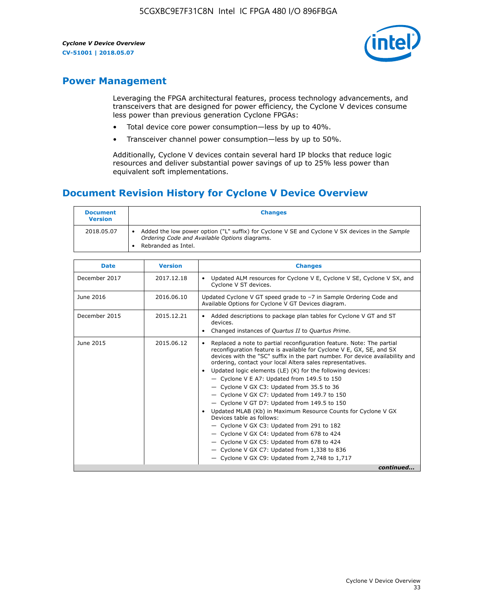

# **Power Management**

Leveraging the FPGA architectural features, process technology advancements, and transceivers that are designed for power efficiency, the Cyclone V devices consume less power than previous generation Cyclone FPGAs:

- Total device core power consumption—less by up to 40%.
- Transceiver channel power consumption—less by up to 50%.

Additionally, Cyclone V devices contain several hard IP blocks that reduce logic resources and deliver substantial power savings of up to 25% less power than equivalent soft implementations.

# **Document Revision History for Cyclone V Device Overview**

| <b>Document</b><br><b>Version</b> | <b>Changes</b>                                                                                                                                                          |
|-----------------------------------|-------------------------------------------------------------------------------------------------------------------------------------------------------------------------|
| 2018.05.07                        | Added the low power option ("L" suffix) for Cyclone V SE and Cyclone V SX devices in the Sample<br>Ordering Code and Available Options diagrams.<br>Rebranded as Intel. |

| <b>Date</b>   | <b>Version</b> | <b>Changes</b>                                                                                                                                                                                                                                                                                                                                                                                                                                                                                                                                                                                                                                                                                                                                                                                                                                                                                                  |
|---------------|----------------|-----------------------------------------------------------------------------------------------------------------------------------------------------------------------------------------------------------------------------------------------------------------------------------------------------------------------------------------------------------------------------------------------------------------------------------------------------------------------------------------------------------------------------------------------------------------------------------------------------------------------------------------------------------------------------------------------------------------------------------------------------------------------------------------------------------------------------------------------------------------------------------------------------------------|
| December 2017 | 2017.12.18     | Updated ALM resources for Cyclone V E, Cyclone V SE, Cyclone V SX, and<br>Cyclone V ST devices.                                                                                                                                                                                                                                                                                                                                                                                                                                                                                                                                                                                                                                                                                                                                                                                                                 |
| June 2016     | 2016.06.10     | Updated Cyclone V GT speed grade to -7 in Sample Ordering Code and<br>Available Options for Cyclone V GT Devices diagram.                                                                                                                                                                                                                                                                                                                                                                                                                                                                                                                                                                                                                                                                                                                                                                                       |
| December 2015 | 2015.12.21     | Added descriptions to package plan tables for Cyclone V GT and ST<br>devices.<br>Changed instances of Quartus II to Quartus Prime.                                                                                                                                                                                                                                                                                                                                                                                                                                                                                                                                                                                                                                                                                                                                                                              |
| June 2015     | 2015.06.12     | Replaced a note to partial reconfiguration feature. Note: The partial<br>reconfiguration feature is available for Cyclone V E, GX, SE, and SX<br>devices with the "SC" suffix in the part number. For device availability and<br>ordering, contact your local Altera sales representatives.<br>Updated logic elements (LE) (K) for the following devices:<br>$\bullet$<br>- Cyclone V E A7: Updated from 149.5 to 150<br>- Cyclone V GX C3: Updated from 35.5 to 36<br>- Cyclone V GX C7: Updated from 149.7 to 150<br>- Cyclone V GT D7: Updated from 149.5 to 150<br>Updated MLAB (Kb) in Maximum Resource Counts for Cyclone V GX<br>Devices table as follows:<br>- Cyclone V GX C3: Updated from 291 to 182<br>- Cyclone V GX C4: Updated from 678 to 424<br>- Cyclone V GX C5: Updated from 678 to 424<br>- Cyclone V GX C7: Updated from 1,338 to 836<br>$-$ Cyclone V GX C9: Updated from 2,748 to 1,717 |
|               |                | continued                                                                                                                                                                                                                                                                                                                                                                                                                                                                                                                                                                                                                                                                                                                                                                                                                                                                                                       |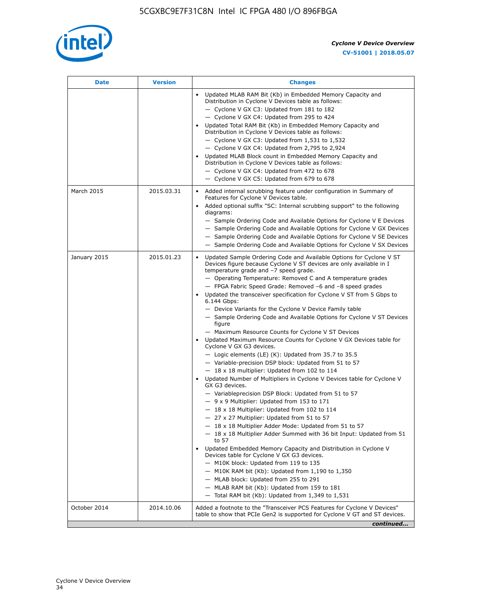

| <b>Date</b>  | <b>Version</b> | <b>Changes</b>                                                                                                                                                                                                                                                                                                                                                                                                                                                                                                                                                                                                                                                                                                                                                                                                                                                                                                                                                                                                                                                                                                                                                                                                                                                                                                                                                                                                                                                                                                                                                                                                                                                                                                |
|--------------|----------------|---------------------------------------------------------------------------------------------------------------------------------------------------------------------------------------------------------------------------------------------------------------------------------------------------------------------------------------------------------------------------------------------------------------------------------------------------------------------------------------------------------------------------------------------------------------------------------------------------------------------------------------------------------------------------------------------------------------------------------------------------------------------------------------------------------------------------------------------------------------------------------------------------------------------------------------------------------------------------------------------------------------------------------------------------------------------------------------------------------------------------------------------------------------------------------------------------------------------------------------------------------------------------------------------------------------------------------------------------------------------------------------------------------------------------------------------------------------------------------------------------------------------------------------------------------------------------------------------------------------------------------------------------------------------------------------------------------------|
|              |                | Updated MLAB RAM Bit (Kb) in Embedded Memory Capacity and<br>Distribution in Cyclone V Devices table as follows:<br>- Cyclone V GX C3: Updated from 181 to 182<br>- Cyclone V GX C4: Updated from 295 to 424<br>Updated Total RAM Bit (Kb) in Embedded Memory Capacity and<br>Distribution in Cyclone V Devices table as follows:<br>$-$ Cyclone V GX C3: Updated from 1,531 to 1,532<br>- Cyclone V GX C4: Updated from 2,795 to 2,924<br>Updated MLAB Block count in Embedded Memory Capacity and<br>Distribution in Cyclone V Devices table as follows:<br>- Cyclone V GX C4: Updated from 472 to 678<br>- Cyclone V GX C5: Updated from 679 to 678                                                                                                                                                                                                                                                                                                                                                                                                                                                                                                                                                                                                                                                                                                                                                                                                                                                                                                                                                                                                                                                        |
| March 2015   | 2015.03.31     | Added internal scrubbing feature under configuration in Summary of<br>$\bullet$<br>Features for Cyclone V Devices table.<br>Added optional suffix "SC: Internal scrubbing support" to the following<br>diagrams:<br>- Sample Ordering Code and Available Options for Cyclone V E Devices<br>- Sample Ordering Code and Available Options for Cyclone V GX Devices<br>- Sample Ordering Code and Available Options for Cyclone V SE Devices<br>- Sample Ordering Code and Available Options for Cyclone V SX Devices                                                                                                                                                                                                                                                                                                                                                                                                                                                                                                                                                                                                                                                                                                                                                                                                                                                                                                                                                                                                                                                                                                                                                                                           |
| January 2015 | 2015.01.23     | Updated Sample Ordering Code and Available Options for Cyclone V ST<br>Devices figure because Cyclone V ST devices are only available in I<br>temperature grade and -7 speed grade.<br>- Operating Temperature: Removed C and A temperature grades<br>- FPGA Fabric Speed Grade: Removed -6 and -8 speed grades<br>Updated the transceiver specification for Cyclone V ST from 5 Gbps to<br>6.144 Gbps:<br>- Device Variants for the Cyclone V Device Family table<br>- Sample Ordering Code and Available Options for Cyclone V ST Devices<br>figure<br>- Maximum Resource Counts for Cyclone V ST Devices<br>Updated Maximum Resource Counts for Cyclone V GX Devices table for<br>Cyclone V GX G3 devices.<br>$-$ Logic elements (LE) (K): Updated from 35.7 to 35.5<br>- Variable-precision DSP block: Updated from 51 to 57<br>$-18 \times 18$ multiplier: Updated from 102 to 114<br>Updated Number of Multipliers in Cyclone V Devices table for Cyclone V<br>GX G3 devices.<br>- Variableprecision DSP Block: Updated from 51 to 57<br>$-9x9$ Multiplier: Updated from 153 to 171<br>$-18 \times 18$ Multiplier: Updated from 102 to 114<br>- 27 x 27 Multiplier: Updated from 51 to 57<br>- 18 x 18 Multiplier Adder Mode: Updated from 51 to 57<br>$-18 \times 18$ Multiplier Adder Summed with 36 bit Input: Updated from 51<br>to 57<br>Updated Embedded Memory Capacity and Distribution in Cyclone V<br>Devices table for Cyclone V GX G3 devices.<br>- M10K block: Updated from 119 to 135<br>- M10K RAM bit (Kb): Updated from 1,190 to 1,350<br>- MLAB block: Updated from 255 to 291<br>- MLAB RAM bit (Kb): Updated from 159 to 181<br>$-$ Total RAM bit (Kb): Updated from 1,349 to 1,531 |
| October 2014 | 2014.10.06     | Added a footnote to the "Transceiver PCS Features for Cyclone V Devices"<br>table to show that PCIe Gen2 is supported for Cyclone V GT and ST devices.                                                                                                                                                                                                                                                                                                                                                                                                                                                                                                                                                                                                                                                                                                                                                                                                                                                                                                                                                                                                                                                                                                                                                                                                                                                                                                                                                                                                                                                                                                                                                        |
|              |                | continued                                                                                                                                                                                                                                                                                                                                                                                                                                                                                                                                                                                                                                                                                                                                                                                                                                                                                                                                                                                                                                                                                                                                                                                                                                                                                                                                                                                                                                                                                                                                                                                                                                                                                                     |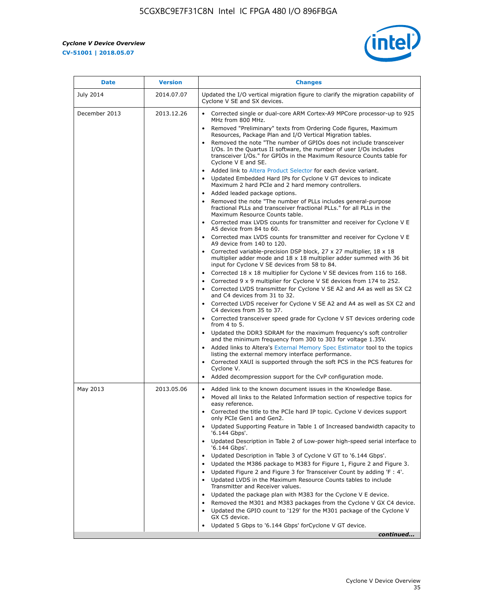$\overline{\mathbf{r}}$ 

 $\mathsf{r}$ 



| <b>Date</b>      | <b>Version</b> | <b>Changes</b>                                                                                                                                                                                                                                                                                                                                                                                                                                                                                                                                                                                                                                                                                                                                                                                                                                                                                                                                                                                                                                                                                                                                                                                          |
|------------------|----------------|---------------------------------------------------------------------------------------------------------------------------------------------------------------------------------------------------------------------------------------------------------------------------------------------------------------------------------------------------------------------------------------------------------------------------------------------------------------------------------------------------------------------------------------------------------------------------------------------------------------------------------------------------------------------------------------------------------------------------------------------------------------------------------------------------------------------------------------------------------------------------------------------------------------------------------------------------------------------------------------------------------------------------------------------------------------------------------------------------------------------------------------------------------------------------------------------------------|
| <b>July 2014</b> | 2014.07.07     | Updated the I/O vertical migration figure to clarify the migration capability of<br>Cyclone V SE and SX devices.                                                                                                                                                                                                                                                                                                                                                                                                                                                                                                                                                                                                                                                                                                                                                                                                                                                                                                                                                                                                                                                                                        |
| December 2013    | 2013.12.26     | • Corrected single or dual-core ARM Cortex-A9 MPCore processor-up to 925<br>MHz from 800 MHz.<br>Removed "Preliminary" texts from Ordering Code figures, Maximum<br>$\bullet$<br>Resources, Package Plan and I/O Vertical Migration tables.<br>Removed the note "The number of GPIOs does not include transceiver<br>I/Os. In the Quartus II software, the number of user I/Os includes<br>transceiver I/Os." for GPIOs in the Maximum Resource Counts table for<br>Cyclone V E and SE.<br>Added link to Altera Product Selector for each device variant.<br>• Updated Embedded Hard IPs for Cyclone V GT devices to indicate<br>Maximum 2 hard PCIe and 2 hard memory controllers.<br>• Added leaded package options.<br>Removed the note "The number of PLLs includes general-purpose<br>fractional PLLs and transceiver fractional PLLs." for all PLLs in the<br>Maximum Resource Counts table.<br>• Corrected max LVDS counts for transmitter and receiver for Cyclone V E<br>A5 device from 84 to 60.<br>• Corrected max LVDS counts for transmitter and receiver for Cyclone V E                                                                                                                  |
|                  |                | A9 device from 140 to 120.<br>Corrected variable-precision DSP block, 27 x 27 multiplier, 18 x 18<br>multiplier adder mode and $18 \times 18$ multiplier adder summed with 36 bit<br>input for Cyclone V SE devices from 58 to 84.<br>Corrected 18 x 18 multiplier for Cyclone V SE devices from 116 to 168.<br>Corrected 9 x 9 multiplier for Cyclone V SE devices from 174 to 252.<br>Corrected LVDS transmitter for Cyclone V SE A2 and A4 as well as SX C2<br>and C4 devices from 31 to 32.<br>• Corrected LVDS receiver for Cyclone V SE A2 and A4 as well as SX C2 and<br>C4 devices from 35 to 37.<br>• Corrected transceiver speed grade for Cyclone V ST devices ordering code<br>from $4$ to $5$ .<br>• Updated the DDR3 SDRAM for the maximum frequency's soft controller<br>and the minimum frequency from 300 to 303 for voltage 1.35V.<br>• Added links to Altera's External Memory Spec Estimator tool to the topics<br>listing the external memory interface performance.<br>• Corrected XAUI is supported through the soft PCS in the PCS features for<br>Cyclone V.<br>Added decompression support for the CvP configuration mode.                                                    |
| May 2013         | 2013.05.06     | Added link to the known document issues in the Knowledge Base.<br>$\bullet$<br>Moved all links to the Related Information section of respective topics for<br>$\bullet$<br>easy reference.<br>• Corrected the title to the PCIe hard IP topic. Cyclone V devices support<br>only PCIe Gen1 and Gen2.<br>Updated Supporting Feature in Table 1 of Increased bandwidth capacity to<br>$\bullet$<br>'6.144 Gbps'.<br>Updated Description in Table 2 of Low-power high-speed serial interface to<br>'6.144 Gbps'.<br>Updated Description in Table 3 of Cyclone V GT to '6.144 Gbps'.<br>Updated the M386 package to M383 for Figure 1, Figure 2 and Figure 3.<br>$\bullet$<br>Updated Figure 2 and Figure 3 for Transceiver Count by adding 'F : 4'.<br>$\bullet$<br>Updated LVDS in the Maximum Resource Counts tables to include<br>Transmitter and Receiver values.<br>Updated the package plan with M383 for the Cyclone V E device.<br>$\bullet$<br>Removed the M301 and M383 packages from the Cyclone V GX C4 device.<br>Updated the GPIO count to '129' for the M301 package of the Cyclone V<br>$\bullet$<br>GX C5 device.<br>Updated 5 Gbps to '6.144 Gbps' for Cyclone V GT device.<br>continued |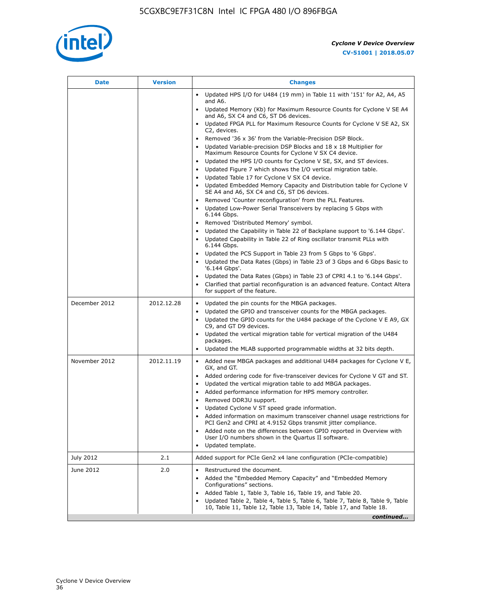

| Date          | <b>Version</b> | <b>Changes</b>                                                                                                                                      |
|---------------|----------------|-----------------------------------------------------------------------------------------------------------------------------------------------------|
|               |                | • Updated HPS I/O for U484 (19 mm) in Table 11 with '151' for A2, A4, A5<br>and A6.                                                                 |
|               |                | Updated Memory (Kb) for Maximum Resource Counts for Cyclone V SE A4<br>and A6, SX C4 and C6, ST D6 devices.                                         |
|               |                | Updated FPGA PLL for Maximum Resource Counts for Cyclone V SE A2, SX<br>C2, devices.                                                                |
|               |                | Removed '36 x 36' from the Variable-Precision DSP Block.                                                                                            |
|               |                | Updated Variable-precision DSP Blocks and 18 x 18 Multiplier for<br>Maximum Resource Counts for Cyclone V SX C4 device.                             |
|               |                | • Updated the HPS I/O counts for Cyclone V SE, SX, and ST devices.                                                                                  |
|               |                | Updated Figure 7 which shows the I/O vertical migration table.                                                                                      |
|               |                | Updated Table 17 for Cyclone V SX C4 device.<br>Updated Embedded Memory Capacity and Distribution table for Cyclone V<br>$\bullet$                  |
|               |                | SE A4 and A6, SX C4 and C6, ST D6 devices.                                                                                                          |
|               |                | Removed 'Counter reconfiguration' from the PLL Features.                                                                                            |
|               |                | Updated Low-Power Serial Transceivers by replacing 5 Gbps with<br>6.144 Gbps.                                                                       |
|               |                | Removed 'Distributed Memory' symbol.<br>$\bullet$                                                                                                   |
|               |                | Updated the Capability in Table 22 of Backplane support to '6.144 Gbps'.                                                                            |
|               |                | • Updated Capability in Table 22 of Ring oscillator transmit PLLs with<br>6.144 Gbps.                                                               |
|               |                | Updated the PCS Support in Table 23 from 5 Gbps to '6 Gbps'.                                                                                        |
|               |                | Updated the Data Rates (Gbps) in Table 23 of 3 Gbps and 6 Gbps Basic to<br>'6.144 Gbps'.                                                            |
|               |                | • Updated the Data Rates (Gbps) in Table 23 of CPRI 4.1 to '6.144 Gbps'.                                                                            |
|               |                | Clarified that partial reconfiguration is an advanced feature. Contact Altera<br>for support of the feature.                                        |
| December 2012 | 2012.12.28     | Updated the pin counts for the MBGA packages.<br>$\bullet$                                                                                          |
|               |                | Updated the GPIO and transceiver counts for the MBGA packages.<br>٠                                                                                 |
|               |                | Updated the GPIO counts for the U484 package of the Cyclone V E A9, GX<br>C9, and GT D9 devices.                                                    |
|               |                | • Updated the vertical migration table for vertical migration of the U484                                                                           |
|               |                | packages.<br>Updated the MLAB supported programmable widths at 32 bits depth.                                                                       |
|               |                |                                                                                                                                                     |
| November 2012 | 2012.11.19     | • Added new MBGA packages and additional U484 packages for Cyclone V E,<br>GX, and GT.                                                              |
|               |                | • Added ordering code for five-transceiver devices for Cyclone V GT and ST.                                                                         |
|               |                | Updated the vertical migration table to add MBGA packages.                                                                                          |
|               |                | Added performance information for HPS memory controller.<br>$\bullet$                                                                               |
|               |                | Removed DDR3U support.<br>$\bullet$<br>Updated Cyclone V ST speed grade information.                                                                |
|               |                | Added information on maximum transceiver channel usage restrictions for                                                                             |
|               |                | PCI Gen2 and CPRI at 4.9152 Gbps transmit jitter compliance.                                                                                        |
|               |                | Added note on the differences between GPIO reported in Overview with<br>User I/O numbers shown in the Quartus II software.                          |
|               |                | Updated template.                                                                                                                                   |
| July 2012     | 2.1            | Added support for PCIe Gen2 x4 lane configuration (PCIe-compatible)                                                                                 |
| June 2012     | 2.0            | Restructured the document.                                                                                                                          |
|               |                | Added the "Embedded Memory Capacity" and "Embedded Memory<br>Configurations" sections.                                                              |
|               |                | Added Table 1, Table 3, Table 16, Table 19, and Table 20.                                                                                           |
|               |                | Updated Table 2, Table 4, Table 5, Table 6, Table 7, Table 8, Table 9, Table<br>10, Table 11, Table 12, Table 13, Table 14, Table 17, and Table 18. |
|               |                | continued                                                                                                                                           |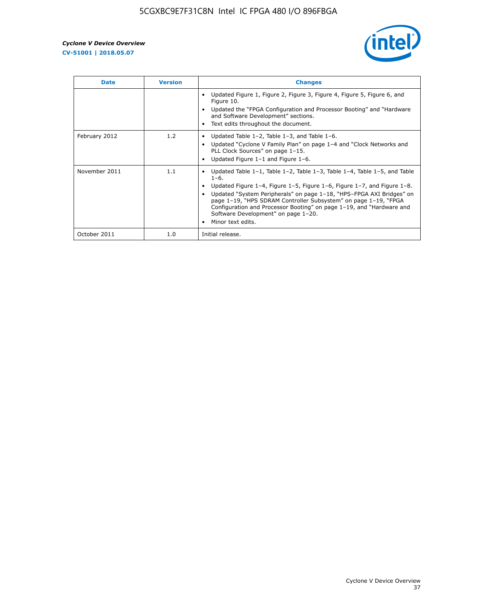

| <b>Date</b>   | <b>Version</b> | <b>Changes</b>                                                                                                                                                                                                                                                                                                                                                                                                                                                             |
|---------------|----------------|----------------------------------------------------------------------------------------------------------------------------------------------------------------------------------------------------------------------------------------------------------------------------------------------------------------------------------------------------------------------------------------------------------------------------------------------------------------------------|
|               |                | Updated Figure 1, Figure 2, Figure 3, Figure 4, Figure 5, Figure 6, and<br>Figure 10.<br>Updated the "FPGA Configuration and Processor Booting" and "Hardware"<br>and Software Development" sections.<br>Text edits throughout the document.                                                                                                                                                                                                                               |
| February 2012 | 1.2            | Updated Table $1-2$ , Table $1-3$ , and Table $1-6$ .<br>Updated "Cyclone V Family Plan" on page 1-4 and "Clock Networks and<br>PLL Clock Sources" on page 1-15.<br>Updated Figure 1-1 and Figure 1-6.                                                                                                                                                                                                                                                                     |
| November 2011 | 1.1            | Updated Table $1-1$ , Table $1-2$ , Table $1-3$ , Table $1-4$ , Table $1-5$ , and Table<br>$1 - 6.$<br>Updated Figure 1-4, Figure 1-5, Figure 1-6, Figure 1-7, and Figure 1-8.<br>Updated "System Peripherals" on page 1-18, "HPS-FPGA AXI Bridges" on<br>page 1-19, "HPS SDRAM Controller Subsystem" on page 1-19, "FPGA<br>Configuration and Processor Booting" on page 1-19, and "Hardware and<br>Software Development" on page 1-20.<br>Minor text edits.<br>$\bullet$ |
| October 2011  | 1.0            | Initial release.                                                                                                                                                                                                                                                                                                                                                                                                                                                           |